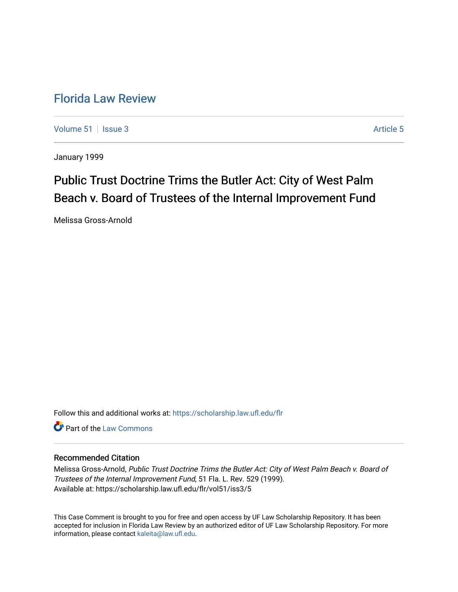# [Florida Law Review](https://scholarship.law.ufl.edu/flr)

[Volume 51](https://scholarship.law.ufl.edu/flr/vol51) | [Issue 3](https://scholarship.law.ufl.edu/flr/vol51/iss3) Article 5

January 1999

# Public Trust Doctrine Trims the Butler Act: City of West Palm Beach v. Board of Trustees of the Internal Improvement Fund

Melissa Gross-Arnold

Follow this and additional works at: [https://scholarship.law.ufl.edu/flr](https://scholarship.law.ufl.edu/flr?utm_source=scholarship.law.ufl.edu%2Fflr%2Fvol51%2Fiss3%2F5&utm_medium=PDF&utm_campaign=PDFCoverPages)

**C** Part of the [Law Commons](http://network.bepress.com/hgg/discipline/578?utm_source=scholarship.law.ufl.edu%2Fflr%2Fvol51%2Fiss3%2F5&utm_medium=PDF&utm_campaign=PDFCoverPages)

# Recommended Citation

Melissa Gross-Arnold, Public Trust Doctrine Trims the Butler Act: City of West Palm Beach v. Board of Trustees of the Internal Improvement Fund, 51 Fla. L. Rev. 529 (1999). Available at: https://scholarship.law.ufl.edu/flr/vol51/iss3/5

This Case Comment is brought to you for free and open access by UF Law Scholarship Repository. It has been accepted for inclusion in Florida Law Review by an authorized editor of UF Law Scholarship Repository. For more information, please contact [kaleita@law.ufl.edu.](mailto:kaleita@law.ufl.edu)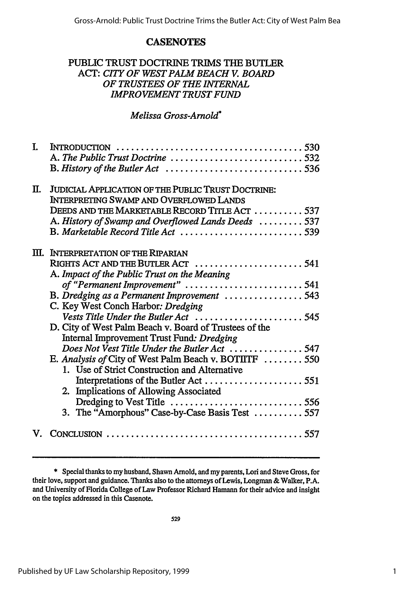# **CASENOTES**

# PUBLIC TRUST DOCTRINE TRIMS **THE** BUTLER ACT: *CITY OF WEST PALM BEACH V. BOARD OF TRUSTEES OF THE INTERNAL IMPROVEMENT TRUST FUND*

# *Melissa Gross-Arnold\**

| I. | A. The Public Trust Doctrine 532                          |
|----|-----------------------------------------------------------|
|    |                                                           |
| П. | <b>JUDICIAL APPLICATION OF THE PUBLIC TRUST DOCTRINE:</b> |
|    | <b>INTERPRETING SWAMP AND OVERFLOWED LANDS</b>            |
|    | DEEDS AND THE MARKETABLE RECORD TITLE ACT  537            |
|    | A. History of Swamp and Overflowed Lands Deeds  537       |
|    | B. Marketable Record Title Act  539                       |
|    | III. INTERPRETATION OF THE RIPARIAN                       |
|    |                                                           |
|    | A. Impact of the Public Trust on the Meaning              |
|    | of "Permanent Improvement" 541                            |
|    | B. Dredging as a Permanent Improvement 543                |
|    | C. Key West Conch Harbor: Dredging                        |
|    | Vests Title Under the Butler Act  545                     |
|    | D. City of West Palm Beach v. Board of Trustees of the    |
|    | Internal Improvement Trust Fund: Dredging                 |
|    | Does Not Vest Title Under the Butler Act 547              |
|    | E. Analysis of City of West Palm Beach v. BOTIITF  550    |
|    | 1. Use of Strict Construction and Alternative             |
|    |                                                           |
|    | 2. Implications of Allowing Associated                    |
|    |                                                           |
|    | 3. The "Amorphous" Case-by-Case Basis Test  557           |
| V. |                                                           |

\* Special thanks to my husband, Shawn Arnold, and my parents, Lori and Steve Gross, for their love, support and guidance. Thanks also to the attorneys of Lewis, Longman & Walker, P.A. and University of Florida College of Law Professor Richard Hamann for their advice and insight on the topics addressed in this Casenote.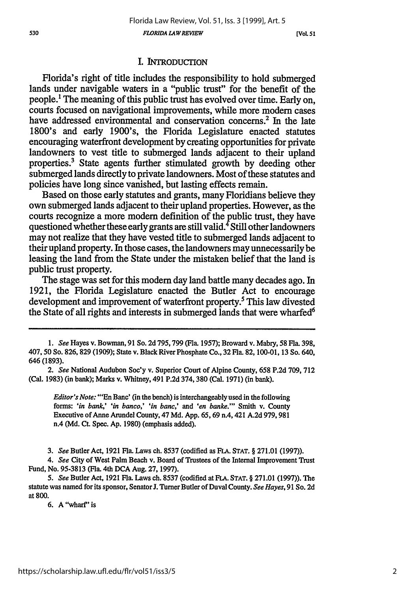*FLORIDA LAW REVIEW*

### I. INTRODUCTION

Florida's right of title includes the responsibility to hold submerged lands under navigable waters in a "public trust" for the benefit of the people.' The meaning of this public trust has evolved over time. Early on, courts focused on navigational improvements, while more modem cases have addressed environmental and conservation concerns.<sup>2</sup> In the late 1800's and early 1900's, the Florida Legislature enacted statutes encouraging waterfront development by creating opportunities for private landowners to vest title to submerged lands adjacent to their upland properties.<sup>3</sup> State agents further stimulated growth by deeding other submerged lands directly to private landowners. Most of these statutes and policies have long since vanished, but lasting effects remain.

Based on those early statutes and grants, many Floridians believe they own submerged lands adjacent to their upland properties. However, as the courts recognize a more modem definition of the public trust, they have questioned whether these early grants are still valid.<sup>4</sup> Still other landowners may not realize that they have vested title to submerged lands adjacent to their upland property. In those cases, the landowners may unnecessarily be leasing the land from the State under the mistaken belief that the land is public trust property.

The stage was set for this modem day land battle many decades ago. In 1921, the Florida Legislature enacted the Butler Act to encourage development and improvement of waterfront property.5 This law divested the State of all rights and interests in submerged lands that were wharfed<sup>6</sup>

*Editor's Note:* "'En Banc' (in the bench) is interchangeably used in the following forms: *'in bank,' 'in banco,' 'in banc,' and 'en banke."'* Smith v. County Executive of Anne Arundel County, 47 **Md. App. 65, 69** n.4, 421 **A.2d 979, 981** n.4 **(Md.** Ct. Spec. **Ap. 1980)** (emphasis added).

*3. See* Butler Act, **1921** Fla. Laws ch. **8537** (codified as **FLA. STAT.** § **271.01 (1997)).**

*4. See* City of West Palm Beach v. Board of Trustees of the Internal Improvement Trust Fund, No. **95-3813** (Fla. 4th **DCA** Aug. **27, 1997).**

*5. See* Butler Act, **1921** Fla. Laws ch. **8537** (codified at **FLA. STAT.** § **271.01 (1997)).** The statute was named for its sponsor, Senator **.** Turner Butler of Duval County. *See Hayes,* **91** So. **2d** at **800.**

**6.** A"wharf" is

*<sup>1.</sup> See* Hayes v. Bowman, **91** So. **2d 795,799** (Fla. **1957);** Broward v. Mabry, **58 Fla. 398,** 407, **50** So. **826, 829 (1909);** State v. Black River Phosphate Co., **32** Fla. **82, 100-01, 13** So. 640, **646 (1893).**

*<sup>2.</sup> See* National Audubon Soc'y v. Superior Court of Alpine County, **658 P.2d 709, 712** (Cal. **1983)** (in bank); Marks v. Whitney, 491 **P.2d 374,380** (Cal. **1971)** (in bank).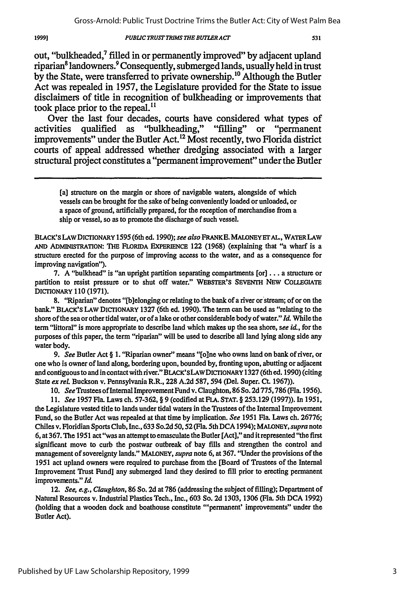**1999]**

#### *PUBLIC TRUST TRIMS THE BUTLERACT*

out, "bulkheaded," filled in or permanently improved" by adjacent upland riparian8 landowners. 9 Consequently, submerged lands, usually held in trust by the State, were transferred to private ownership.<sup>10</sup> Although the Butler Act was repealed in **1957,** the Legislature provided for the State to issue disclaimers of title in recognition of bulkheading or improvements that took place prior to the repeal."

Over the last four decades, courts have considered what types of activities qualified as "bulkheading," "filling" or "permanent "bulkheading," "filling" improvements" under the Butler Act.<sup>12</sup> Most recently, two Florida district courts of appeal addressed whether dredging associated with a larger structural project constitutes a "permanent improvement" under the Butler

[a] structure on the margin or shore of navigable waters, alongside of which vessels can be brought for the sake of being conveniently loaded or unloaded, or a space of ground, artificially prepared, for the reception of merchandise from a ship or vessel, so as to promote the discharge of such vessel.

BLACK'S LAWDIC'IONARY 1595 (6th ed. 1990); *see also* FRANKE. MALONEYETAL, WATERLAW AND ADMINISTRATION: THE FLORIDA EXPERIENCE 122 (1968) (explaining that "a wharf is a structure erected for the purpose of improving access to the water, and as a consequence for improving navigation").

7. A "bulkhead" is "an upright partition separating compartments [or]... a structure or partition to resist pressure or to shut off water." **WEBSTER'S SEVENTH NEW** COLLEGIATE DICIONARY 110 (1971).

8. "Riparian" denotes "[b]elonging or relating to the bank of a river or stream; of or on the bank." BLACK'S LAW DICTIONARY **1327** (6th ed. 1990). The term can be used as "relating to the shore of the sea or other tidal water, or of a lake or other considerable body of water." *Id.* While the term "littoral" is more appropriate to describe land which makes up the sea shore, *see* id., for the purposes of this paper, the term "riparian" will be used to describe all land lying along side any water body.

*9. See* Butler Act § 1. "Riparian owner" means "[o]ne who owns land on bank of river, or one who is owner of land along, bordering upon, bounded **by,** fronting upon, abutting or adjacent and contiguous to and in contact with river." BLACK'SLAWDICTIONARY **1327** (6th ed. 1990) (citing State *ex* rel Buckson v. Pennsylvania R.R., **228** A.2d 587, 594 (Del. Super. **Ct.** 1967)).

*10. See* Trustees of Internal Improvement Fund v. Claughton, 86 So. 2d 775,786 (Fla. 1956).

*11. See* 1957 Fla. Laws ch. 57-362, § 9 (codified at **FLA. STAT.** § 253.129 (1997)). In 1951, the Legislature vested title to lands under tidal waters in the Trustees of the Internal Improvement Fund, so the Butler Act was repealed at that time **by** implication. *See* 1951 Fla. Laws ch. 26776; Chiles v. Floridian Sports Club, Inc., 633 So.2d 50, **52** (Fla. 5th **DCA** 1994); MALONEY, *supra* note 6, at 367. The 1951 act "was an attempt to emasculate the Butler [Act]," and it represented "the first significant move to curb the postwar outbreak of bay fills and strengthen the control and management of sovereignty lands." **MALONEY,** *supra* note 6, at 367. "Under the provisions of the 1951 act upland owners were required to purchase from the [Board of Trustees of the Internal Improvement Trust Fund] any submerged land they desired to fill prior to erecting permanent improvements." Id.

12. *See, e.g., Claughton,* 86 So. **2d** at **786** (addressing the subject of filling); Department of Natural Resources v. Industrial Plastics Tech., Inc., **603** So. **2d** 1303, 1306 (Fla. 5th **DCA** 1992) (holding that a wooden dock and boathouse constitute "'permanent' improvements" under the Butler Act).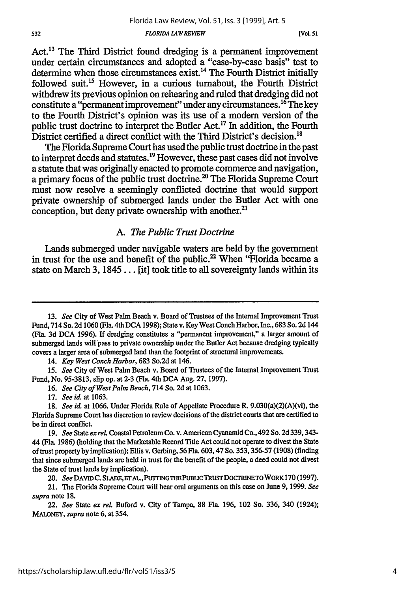*FLORIDA LAW REVIEW*

Act.<sup>13</sup> The Third District found dredging is a permanent improvement under certain circumstances and adopted a "case-by-case basis" test to determine when those circumstances exist.<sup>14</sup> The Fourth District initially followed suit.<sup>15</sup> However, in a curious turnabout, the Fourth District withdrew its previous opinion on rehearing and ruled that dredging did not constitute a "permanent improvement" under any circumstances.<sup>16</sup> The key to the Fourth District's opinion was its use of a modem version of the public trust doctrine to interpret the Butler Act.17 **In** addition, the Fourth District certified a direct conflict with the Third District's decision.<sup>18</sup>

The Florida Supreme Court has used the public trust doctrine in the past to interpret deeds and statutes.<sup>19</sup> However, these past cases did not involve a statute that was originally enacted to promote commerce and navigation, a primary focus of the public trust doctrine.<sup>20</sup> The Florida Supreme Court must now resolve a seemingly conflicted doctrine that would support private ownership of submerged lands under the Butler Act with one conception, but deny private ownership with another. $21$ 

# *A. The Public Trust Doctrine*

Lands submerged under navigable waters are held **by** the government in trust for the use and benefit of the public.<sup>22</sup> When "Florida became a state on March **3, 1845...** [it] took title to all sovereignty lands within its

14. *Key West Conch Harbor,* 683 So.2d at 146.

15. *See* City of West Palm Beach v. Board of Trustees of the Internal Improvement Trust Fund, No. 95-3813, slip op. at 2-3 (Fla. 4th **DCA** Aug. 27, 1997).

16. *See City of West Palm Beach,* 714 So. 2d at 1063.

17. *See id.* at 1063.

20. *See* DAVIDC. SLADE, ET AL., PUTTING THE PUBLIC TRUST DOCTRINE TO WORK 170 (1997).

21. The Florida Supreme Court will hear oral arguments on this case on June 9, 1999. *See supra* note **18.**

22. *See* State *ex rel.* Buford v. City of Tampa, 88 Fla. 196, 102 So. 336, 340 (1924); MALONEY, *supra* note 6, at 354.

**<sup>13.</sup>** See City of West Palm Beach v. Board of Trustees of the Internal Improvement Trust Fund, 714 So. 2d 1060 (Fla. 4th **DCA** 1998); State v. Key WestConch Harbor, Inc., 683 So. 2d 144 (Fla. 3d **DCA** 1996). If dredging constitutes a "permanent improvement," a larger amount of submerged lands will pass to private ownership under the Butler Act because dredging typically covers a larger area of submerged land than the footprint of structural improvements.

<sup>18.</sup> *See id.* at 1066. Under Florida Rule of Appellate Procedure R. 9.030(a)(2)(A)(vi), the Florida Supreme Court has discretion to review decisions of the district courts that are certified to be in direct conflict.

*<sup>19.</sup> See* State *exreL* Coastal Petroleum Co. v. American Cyananid Co., 492 So. **2d** 339,343- 44 (Fla. 1986) (holding that the Marketable Record Title Act could not operate to divest the State of trust property by implication); Ellis v. Gerbing, 56 Fla. 603,47 So. 353, 356-57 (1908) (finding that since submerged lands are held in trust for the benefit of the people, a deed could not divest the State of trust lands **by** implication).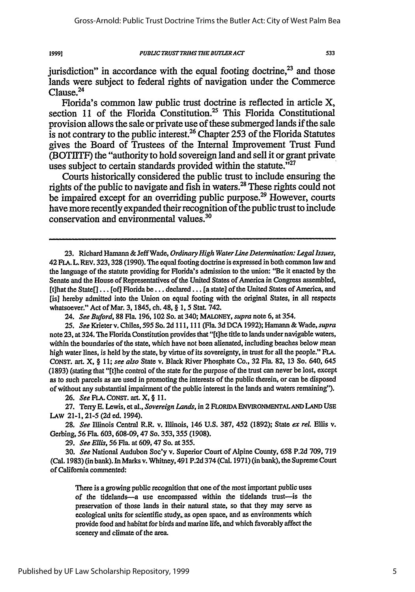1999]

jurisdiction" in accordance with the equal footing doctrine, $^{23}$  and those lands were subject to federal rights of navigation under the Commerce Clause.24

Florida's common law public trust doctrine is reflected in article X, section 11 of the Florida Constitution.<sup>25</sup> This Florida Constitutional provision allows the sale or private use of these submerged lands if the sale is not contrary to the public interest.26 Chapter **253** of the Florida Statutes gives the Board of Trustees of the Internal Improvement Trust Fund (BOTLITF) the "authority to hold sovereign land and sell it or grant private uses subject to certain standards provided within the statute. $^{327}$ 

Courts historically considered the public trust to include ensuring the rights of the public to navigate and fish in waters.28 These rights could not be impaired except for an overriding public purpose.<sup>29</sup> However, courts have more recently expanded their recognition of the public trust to include conservation and environmental values.<sup>36</sup>

26. *See FLA.* **CONST.** art. X, § 11.

27. Terry **E.** Lewis, et al., *Sovereign Lands,* in 2 **FLORIDA ENVIRONMENTALAND LAND USE** LAW 21-1, 21-5 **(2d** ed. 1994).

28. *See* Illinois Central R.R. v. Illinois, 146 U.S. 387, 452 (1892); State *ex rel. Ellis* v. Gerbing, 56 Fla. 603, 608-09,47 So. 353, 355 (1908).

29. *See Ellis,* 56 Fla. at 609,47 So. at 355.

30. *See* National Audubon Soc'y v. Superior Court of Alpine County, 658 P.2d 709, 719 (Cal. 1983) (in bank). In Marks v. Whitney, 491 P.2d 374 (Cal. 1971) (in bank), the Supreme Court of California commented:

There is a growing public recognition that one of the most important public uses of the tidelands-a use encompassed within the tidelands trust-is the preservation of those lands in their natural state, so that they may serve as ecological units for scientific study,. as open space, and as environments which provide food and habitat for birds and marine life, and which favorably affect the scenery and climate of the area.

**<sup>23.</sup>** Richard Hamann & Jeff Wade, *Ordinary High WaterLine Determination: Legal Issues,* 42 FA. L. REV. 323, 328 (1990). **The** equal footing doctrine is expressed in both common law and the language of the statute providing for Florida's admission to the union: "Be it enacted **by** the Senate and the House of Representatives of the United States of America in Congress assembled, [t]hat the State[] ... **[of]** Florida be... declared... [a state] of the United States of America, and [is] hereby admitted into the Union on equal footing with the original States, in all respects whatsoever." Act of Mar. 3, 1845, ch. 48, **§** *1,* 5 Stat. 742.

*<sup>24.</sup> See Buford,* 88 Fla. 196, 102 So. at 340; MAONEY, *supra* note 6, at 354.

<sup>25.</sup> *See* Krieterv. Chiles, *595* So. 2d 111, **111** (Fla. 3dDCA 1992); Hamann &Wade, *supra* note **23,** at 324. The Florida Constitution provides that "[tihe title to lands under navigable waters, within the boundaries of the state, which have not been alienated, including beaches below mean high water lines, is held by the state, by virtue of its sovereignty, in trust for all the people." FLA. CONST. art. X, § **11;** *see also* State v. Black River Phosphate Co., **32** Fla. **82,** 13 So. 640, 645 (1893) (stating that "[tihe control of the state for the purpose of the trust can never be lost, except as to such parcels as are used in promoting the interests of the public therein, or can be disposed of without any substantial impairment of the public interest in the lands and waters remaining").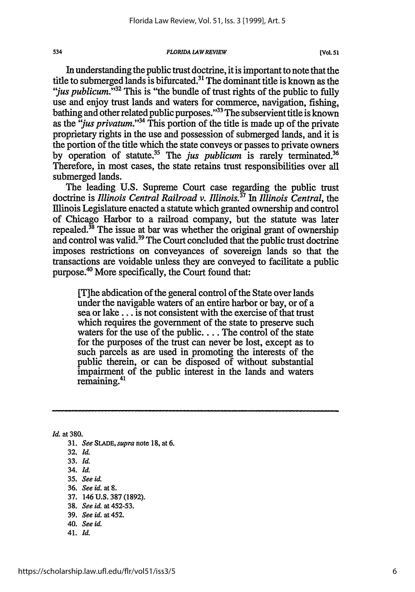*FLORIDA LAW REVIEW*

In understanding the public trust doctrine, it is important to note that the title to submerged lands is bifurcated.<sup>31</sup> The dominant title is known as the *'jus publicum.''32* This is "the bundle of trust rights of the public to fully use and enjoy trust lands and waters for commerce, navigation, fishing, bathing and other related public purposes."<sup>33</sup> The subservient title is known as the *"jus privatum*."<sup>34</sup> This portion of the title is made up of the private proprietary rights in the use and possession of submerged lands, and it is the portion of the title which the state conveys or passes to private owners by operation of statute.<sup>35</sup> The *jus publicum* is rarely terminated.<sup>36</sup> Therefore, in most cases, the state retains trust responsibilities over all submerged lands.

The leading U.S. Supreme Court case regarding the public trust doctrine is *Illinois Central Railroad v. Illinois*<sup>37</sup> In *Illinois Central*, the Ilinois Legislature enacted a statute which granted ownership and control of Chicago Harbor to a railroad company, but the statute was later repealed. $^{38}$  The issue at bar was whether the original grant of ownership and control was valid.<sup>39</sup> The Court concluded that the public trust doctrine imposes restrictions on conveyances of sovereign lands so that the transactions are voidable unless they are conveyed to facilitate a public purpose.<sup>40</sup> More specifically, the Court found that:

[T]he abdication of the general control of the State over lands under the navigable waters of an entire harbor or bay, or of a sea or lake... is not consistent with the exercise of that trust which requires the government of the state to preserve such waters for the use of the public.... The control of the state for the purposes of the trust can never be lost, except as to such parcels as are used in promoting the interests of the public therein, or can be disposed of without substantial impairment of the public interest in the lands and waters remaining.41

*Id.* at **380.**

534

**31.** *See SLADE,* supra note **18,** at **6. 32.** *Id.* **33.** *Id.* 34. *IL* **35.** *See id.* **36.** *See id. at 8.* **37.** 146 **U.S. 387 (1892). 38.** *See id.* at **452-53. 39.** *See id.* at 452. 40. *See id.* 41. *Id.*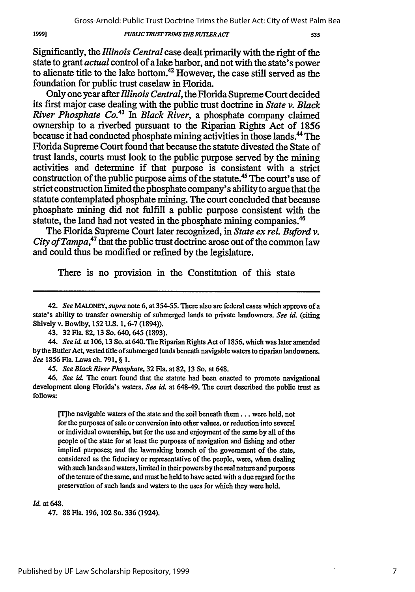Gross-Arnold: Public Trust Doctrine Trims the Butler Act: City of West Palm Bea

*PUBLIC TRUST TRIMS THE BUTLER ACT*

535

Significantly, the *Illinois Central* case dealt primarily with the right of the state to grant *actual* control of a lake harbor, and not with the state's power to alienate title to the lake bottom.<sup>42</sup> However, the case still served as the foundation for public trust caselaw in Florida.

Only one year after *Illinois Central,* the Florida Supreme Court decided its first major case dealing with the public trust doctrine in *State v. Black River Phosphate Co.43 In Black River,* a phosphate company claimed ownership to a riverbed pursuant to the Riparian Rights Act of 1856 because it had conducted phosphate mining activities in those lands.<sup>44</sup> The Florida Supreme Court found that because the statute divested the State of trust lands, courts must look to the public purpose served by the mining activities and determine if that purpose is consistent with a strict construction of the public purpose aims of the statute.45 The court's use of strict construction limited the phosphate company's ability to argue that the statute contemplated phosphate mining. The court concluded that because phosphate mining did not fulfill a public purpose consistent with the statute, the land had not vested in the phosphate mining companies.<sup>46</sup>

The Florida Supreme Court later recognized, in *State ex rel. Buford v. City of Tampa,47* that the public trust doctrine arose out of the common law and could thus be modified or refined by the legislature.

There is no provision in the Constitution of this state

43. **32** Fla. **82,** 13 So. 640, 645 (1893).

44. *See id.* at 106,13 So. at 640. The Riparian Rights Act of 1856, which was later amended by the Butler Act, vested title of submerged lands beneath navigable waters to riparian landowners. *See* 1856 Fla. Laws ch. 791, § 1.

45. *See Black River Phosphate,* 32 Fla. at **82,** 13 So. at 648.

46. *See id.* The court found that the statute had been enacted to promote navigational development along Florida's waters. *See id.* at 648-49. The court described the public trust as follows:

[Tihe navigable waters of the state and the soil beneath them.., were held, not for the purposes of sale or conversion into other values, or reduction into several or individual ownership, but for the use and enjoyment of the same by all of the people of the state for at least the purposes of navigation and fishing and other implied purposes; and the lawmaking branch of the government of the state, considered as the fiduciary or representative of the people, were, when dealing with such lands and waters, limited in their powers **by** the real nature and purposes of the tenure of the same, and must be held to have acted with a due regard for the preservation of such lands and waters to the uses for which they were held.

#### *Id.* at 648.

47. **88** Fla. 196, 102 So. 336 (1924).

19991

<sup>42.</sup> *See* **MALONEY,** *supra* note **6,** at 354-55. There also are federal cases which approve of a state's ability to transfer ownership of submerged lands to private landowners. *See id.* (citing Shively v. Bowiby, 152 **U.S.** 1, 6-7 (1894)).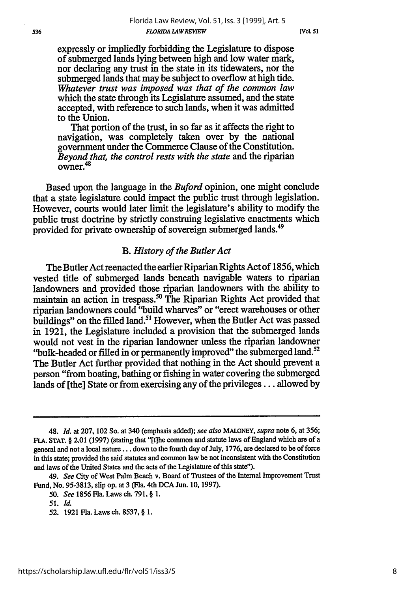expressly or impliedly forbidding the Legislature to dispose of submerged lands lying between high and low water mark, nor declaring any trust in the state in its tidewaters, nor the submerged lands that may be subject to overflow at high tide. *Whatever trust was imposed was that of the common law* which the state through its Legislature assumed, and the state accepted, with reference to such lands, when it was admitted to the Union.

That portion of the trust, in so far as it affects the right to navigation, was completely taken over by the national government under the Commerce Clause of the Constitution. *Beyond that, the control rests with the state* and the riparian  $\frac{26,0}{10}$ 

Based upon the language in the *Buford* opinion, one might conclude that a state legislature could impact the public trust through legislation. However, courts would later limit the legislature's ability to modify the public trust doctrine by strictly construing legislative enactments which provided for private ownership of sovereign submerged lands.<sup>49</sup>

### *B. History of the Butler Act*

The Butler Act reenacted the earlier Riparian Rights Act of 1856, which vested title of submerged lands beneath navigable waters to riparian landowners and provided those riparian landowners with the ability to maintain an action in trespass.<sup>50</sup> The Riparian Rights Act provided that riparian landowners could "build wharves" or "erect warehouses or other buildings" on the filled land.<sup>51</sup> However, when the Butler Act was passed in 1921, the Legislature included a provision that the submerged lands would not vest in the riparian landowner unless the riparian landowner "bulk-headed or filled in or permanently improved" the submerged land.<sup>52</sup> The Butler Act further provided that nothing in the Act should prevent a person "from boating, bathing or fishing in water covering the submerged lands of [the] State or from exercising any of the privileges... allowed by

<sup>48.</sup> *Id.* at 207, 102 So. at 340 (emphasis added); *see also* **MALONEY,** *supra* note 6, at **356;** FLA. **STAT.** § 2.01 (1997) (stating that "[tihe common and statute laws of England which are of a general and not a local nature... down to the fourth day of July, 1776, are declared to be of force in this state; provided the said statutes and common law be not inconsistent with the Constitution and laws of the United States and the acts of the Legislature of this state").

<sup>49.</sup> *See* City of West Palm Beach v. Board of Trustees of the Internal Improvement Trust Fund, No. 95-3813, slip op. at 3 (Fla. 4th **DCA** Jun. 10, 1997).

*<sup>50.</sup> See* 1856 Fla. Laws ch. 791, § 1.

<sup>51.</sup> *Id.*

**<sup>52.</sup>** 1921 Fla. Laws ch. 8537, § 1.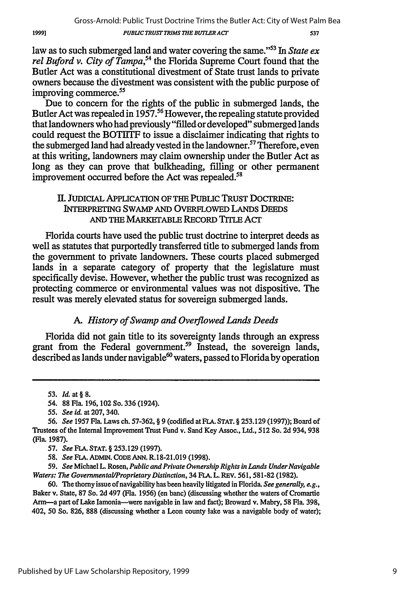19991

law as to such submerged land and water covering the same."53 In *State ex* rel Buford v. City of Tampa,<sup>54</sup> the Florida Supreme Court found that the Butler Act was a constitutional divestment of State trust lands to private owners because the divestment was consistent with the public purpose of improving commerce. $55$ 

Due to concern for the rights of the public in submerged lands, the Butler Act was repealed in  $1957$ .<sup>56</sup> However, the repealing statute provided that landowners who had previously "filled or developed" submerged lands could request the BOTIITF to issue a disclaimer indicating that rights to the submerged land had already vested in the landowner.<sup>57</sup> Therefore, even at this writing, landowners may claim ownership under the Butler Act as long as they can prove that bulkheading, filling or other permanent improvement occurred before the Act was repealed.<sup>58</sup>

# If. JuDICIAL APPLICATION OF THE PUBLIC TRUST DOCTRINE: INTERPRETING **SWAMP AND** OVERFLOWED LANDS DEEDS AND THE MARKETABLE RECORD TITLE Acr

Florida courts have used the public trust doctrine to interpret deeds as well as statutes that purportedly transferred title to submerged lands from the government to private landowners. These courts placed submerged lands in a separate category of property that the legislature must specifically devise. However, whether the public trust was recognized as protecting commerce or environmental values was not dispositive. The result was merely elevated status for sovereign submerged lands.

# *A. History of Swamp and Overflowed Lands Deeds*

Florida did not gain title to its sovereignty lands through an express grant from the Federal government.<sup>59</sup> Instead, the sovereign lands, described as lands under navigable $^{60}$  waters, passed to Florida by operation

**59.** *See* Michael L. Rosen, *Public and Private Ownership Rights in Lands Under Navigable Waters: The Governmental/Proprietary Distinction,* 34 FLA. L. REV. 561,581-82 (1982).

60. *The* thorny issue of navigability has been heavily litigated in Florida. *See generally, e.g.,* Baker v. State, 87 So. 2d 497 (Fla. 1956) (en banc) (discussing whether the waters of Cromartie *Ann-a* part of Lake lamonia-were navigable in law and fact); Broward v. Mabry, 58 Fla. 398, 402, 50 So. 826, 888 (discussing whether a Leon county lake was a navigable body of water);

<sup>53.</sup> *Id.* at **§** 8.

<sup>54. 88</sup> Fla. 196, 102 So. 336 (1924).

*<sup>55.</sup> See id.* at 207, 340.

<sup>56.</sup> *See* 1957 Fla. Laws ch. 57-362, § 9 (codified at FLA. STAT. § 253.129 (1997)); Board of Trustees of the Internal Improvement Trust Fund v. Sand Key Assoc., Ltd., 512 So. 2d 934, 938 (Fla. 1987).

**<sup>57.</sup>** *See* **FLA.** STAT. § **253.129 (1997).**

**<sup>58.</sup>** *See* **FLA.** ADnIN. CODE ANN. R.18-21.019 **(1998).**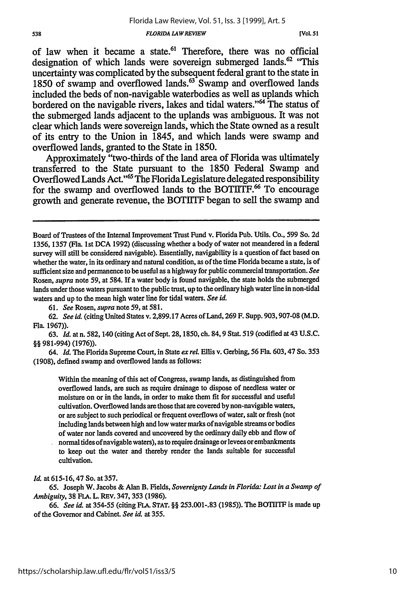#### *FLORIDA LAWREVIEW*

**[VOL 51**

of law when it became a state.<sup>61</sup> Therefore, there was no official designation of which lands were sovereign submerged lands.<sup>62</sup> "This uncertainty was complicated **by** the subsequent federal grant to the state in 1850 of swamp and overflowed lands.<sup>63</sup> Swamp and overflowed lands included the beds of non-navigable waterbodies as well as uplands which bordered on the navigable rivers, lakes and tidal waters."<sup>64</sup> The status of the submerged lands adjacent to the uplands was ambiguous. It was not clear which lands were sovereign lands, which the State owned as a result of its entry to the Union in 1845, and which lands were swamp and overflowed lands, granted to the State in **1850.**

Approximately "two-thirds of the land area of Florida was ultimately transferred to the State pursuant to the **1850** Federal Swamp and Overflowed Lands Act."5 **The** Florida Legislature delegated responsibility for the swamp and overflowed lands to the BOTIITF.<sup>66</sup> To encourage growth and generate revenue, the BOTITF began to sell the swamp and

61. *See* Rosen, *supra* note 59, at 581.

*62. See id.* (citing United States v. 2,899.17 Acres of Land, 269 F. Supp. 903,907-08 (M.D. Fla. 1967)).

63. *Id.* at n. 582,140 (citing Act of Sept. 28,1850, ch. 84,9 Stat. 519 (codified at43 U.S.C. §§ 981-994) (1976)).

64. *Id.* The Florida Supreme Court, in State *ex rel.* Ellis v. Gerbing, 56 Fla. 603,47 So. 353 (1908), defined swamp and overflowed lands as follows:

Within the meaning of this act of Congress, swamp lands, as distinguished from overflowed lands, are such as require drainage to dispose of needless water or moisture on or in the lands, in order to make them fit for successful and useful cultivation. Overflowed lands are those that are covered by non-navigable waters, or are subject to such periodical or frequent overflows of water, salt or fresh (not including lands between high and low water marks of navigable streams or bodies of water nor lands covered and uncovered by the ordinary daily ebb and flow of

normal tides of navigable waters), as to require drainage or levees or embankments to keep out the water and thereby render the lands suitable for successful cultivation.

*Id.* at 615-16, 47 So. at 357.

**65.** Joseph W. Jacobs & Alan B. Fields, *Sovereignty Lands in Florida: Lost in a Swamp of Ambiguity,* 38 FLA. L. REV. 347, 353 (1986).

66. *See id.* at 354-55 (citing FLA. STAT. §§ 253.001-.83 (1985)). The BOTIITF is made up of the Governor and Cabinet. *See id.* at 355.

Board of Trustees of the Internal Improvement Trust Fund v. Florida Pub. Utils. Co., 599 So. 2d 1356, 1357 (Fla. 1st **DCA** 1992) (discussing whether a body of water not meandered in a federal survey will still be considered navigable). Essentially, navigability is a question of fact based on whether the water, in its ordinary and natural condition, as of the time Florida became a state, is of sufficient size and permanence to be useful as a highway for public commercial transportation. *See* Rosen, *supra* note 59, at 584. If a water body is found navigable, the state holds the submerged lands under those waters pursuant to the public trust, up to the ordinary high water line in non-tidal waters and up to the mean high water line for tidal waters. *See id.*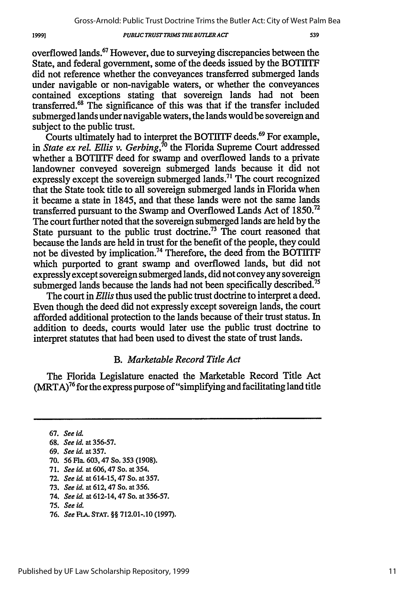#### *PUBLIC TRUST TRIMS THEBUTLER ACT*

overflowed lands.67 However, due to surveying discrepancies between the State, and federal government, some of the deeds issued by the BOTIITF did not reference whether the conveyances transferred submerged lands under navigable or non-navigable waters, or whether the conveyances contained exceptions stating that sovereign lands had not been transferred. 68 The significance of this was that if the transfer included submerged lands under navigable waters, the lands would be sovereign and subject to the public trust.

Courts ultimately had to interpret the BOTIITF deeds.<sup>69</sup> For example, in *State ex rel. Ellis v. Gerbing*,<sup>70</sup> the Florida Supreme Court addressed whether a BOTIITF deed for swamp and overflowed lands to a private landowner conveyed sovereign submerged lands because it did not expressly except the sovereign submerged lands.<sup>71</sup> The court recognized that the State took title to all sovereign submerged lands in Florida when it became a state in 1845, and that these lands were not the same lands transferred pursuant to the Swamp and Overflowed Lands Act of 1850.72 The court further noted that the sovereign submerged lands are held by the State pursuant to the public trust doctrine.<sup>73</sup> The court reasoned that because the lands are held in trust for the benefit of the people, they could not be divested by implication.<sup>74</sup> Therefore, the deed from the BOTIITF which purported to grant swamp and overflowed lands, but did not expressly except sovereign submerged lands, did not convey any sovereign submerged lands because the lands had not been specifically described.<sup>75</sup>

The court in *Ellis* thus used the public trust doctrine to interpret a deed. Even though the deed did not expressly except sovereign lands, the court afforded additional protection to the lands because of their trust status. In addition to deeds, courts would later use the public trust doctrine to interpret statutes that had been used to divest the state of trust lands.

### *B. Marketable Record Title Act*

The Florida Legislature enacted the Marketable Record Title Act  $(MRTA)<sup>76</sup>$  for the express purpose of "simplifying and facilitating land title

- 72. *See id.* at 614-15,47 So. at 357.
- 73. *See id.* at 612,47 So. at 356.
- 74. *See id.* at 612-14,47 So. at 356-57.
- 75. *See id.*
- 76. *See* **FLA.** STAT. §§ **712.01-.10** (1997).

<sup>67.</sup> *See* id.

<sup>68.</sup> *See id.* at 356-57.

<sup>69.</sup> *See id.* at **357.**

<sup>70. 56</sup> Fla. 603,47 So. 353 (1908).

<sup>71.</sup> *See id.* at 606,47 So. at 354.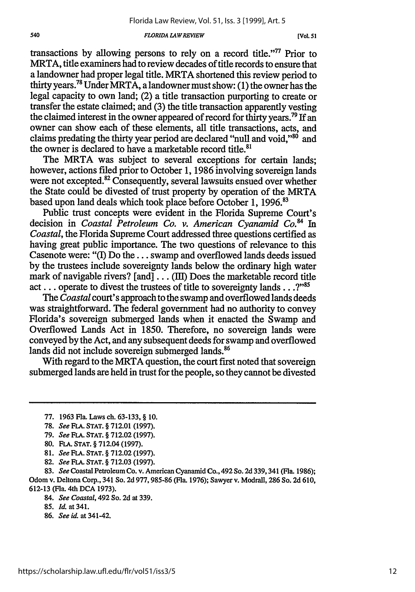#### *FLORIDA LAWREVIEW*

**[Vol. 51**

transactions by allowing persons to rely on a record title."<sup>77</sup> Prior to MRTA, title examiners had to review decades of title records to ensure that a landowner had proper legal title. MRTA shortened this review period to thirty years.78 Under MRTA, a landowner must show: (1) the owner has the legal capacity to own land; (2) a title transaction purporting to create or transfer the estate claimed; and **(3)** the title transaction apparently vesting the claimed interest in the owner appeared of record for thirty years.<sup>79</sup> If an owner can show each of these elements, all title transactions, acts, and claims predating the thirty year period are declared "null and void,"<sup>80</sup> and the owner is declared to have a marketable record title. $81$ 

The MRTA was subject to several exceptions for certain lands; however, actions filed prior to October 1, 1986 involving sovereign lands were not excepted.<sup>82</sup> Consequently, several lawsuits ensued over whether the State could be divested of trust property by operation of the MRTA based upon land deals which took place before October 1, 1996.<sup>83</sup>

Public trust concepts were evident in the Florida Supreme Court's decision in *Coastal Petroleum Co. v. American Cyanamid Co.84* In *Coastal,* the Florida Supreme Court addressed three questions certified as having great public importance. The two questions of relevance to this Casenote were: "(I) Do the.., swamp and overflowed lands deeds issued by the trustees include sovereignty lands below the ordinary high water mark of navigable rivers? [and]  $\ldots$  (III) Does the marketable record title act... operate to divest the trustees of title to sovereignty lands...?"<sup>85</sup>

The *Coastal* court's approach to the swamp and overflowed lands deeds was straightforward. The federal government had no authority to convey Florida's sovereign submerged lands when it enacted the Swamp and Overflowed Lands Act in 1850. Therefore, no sovereign lands were conveyed by the Act, and any subsequent deeds for swamp and overflowed lands did not include sovereign submerged lands.<sup>86</sup>

With regard to the MRTA question, the court first noted that sovereign submerged lands are held in trust for the people, so they cannot be divested

- 81. *See* FLA. **STAT.** § 712.02 (1997).
- 82. *See FLA.* **STAT.** § 712.03 (1997).

83. *See* Coastal Petroleum Co. v. American Cyanamid Co., 492 So. 2d 339,341 (Fla. 1986); Odom v. Deltona Corp., 341 So. 2d 977,985-86 (Fla. 1976); Sawyer v. Modrall, 286 So. 2d 610, 612-13 (Fla. 4th **DCA** 1973).

84. *See Coastal,* 492 So. 2d at 339.

- **85.** *Id.* at 341.
- 86. *See id.* at 341-42.

<sup>77. 1963</sup> Fla. Laws ch. 63-133, § 10.

<sup>78.</sup> *See* **FLA. STAT.** § 712.01 (1997).

<sup>79.</sup> *See* **FLA. STAT.** § 712.02 (1997).

<sup>80.</sup> FLA. **STAT.** § 712.04 (1997).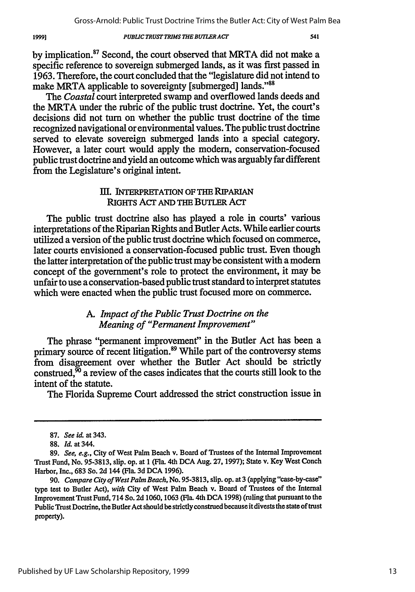*PUBLIC TRUST TRIMS THE BUTLER ACT*

by implication.<sup>87</sup> Second, the court observed that MRTA did not make a specific reference to sovereign submerged lands, as it was first passed in 1963. Therefore, the court concluded that the "legislature did not intend to make MRTA applicable to sovereignty [submerged] lands."<sup>88</sup>

The *Coastal* court interpreted swamp and overflowed lands deeds and the MRTA under the rubric of the public trust doctrine. Yet, the court's decisions did not turn on whether the public trust doctrine of the time recognized navigational or environmental values. The public trust doctrine served to elevate sovereign submerged lands into a special category. However, a later court would apply the modem, conservation-focused public trust doctrine and yield an outcome which was arguably far different from the Legislature's original intent.

## **1iH.** JNTERPRETATION **OFTHE** RIPARIAN RIGHTS Acr **AND THE** BUTLER Acr

The public trust doctrine also has played a role in courts' various interpretations of the Riparian Rights and Butler Acts. While earlier courts utilized a version of the public trust doctrine which focused on commerce, later courts envisioned a conservation-focused public trust. Even though the latter interpretation of the public trust may be consistent with a modem concept of the government's role to protect the environment, it may be unfair to use a conservation-based public trust standard to interpret statutes which were enacted when the public trust focused more on commerce.

# *A. Impact of the Public Trust Doctrine on the Meaning of "Permanent Improvement"*

The phrase "permanent improvement" in the Butler Act has been a primary source of recent litigation.<sup>89</sup> While part of the controversy stems from disagreement over whether the Butler Act should be strictly construed, $\overline{50}$  a review of the cases indicates that the courts still look to the intent of the statute.

The Florida Supreme Court addressed the strict construction issue in

**<sup>87.</sup>** *See id.* at 343.

<sup>88.</sup> *Id.* at 344.

<sup>89.</sup> *See, e.g.,* City of West Palm Beach v. Board of Trustees of the Internal Improvement Trust Fund, No. 95-3813, slip. op. at 1 (Fla. 4th **DCA** Aug. 27, 1997); State v. Key West Conch Harbor, Inc., 683 So. **2d** 144 (Fla. 3d DCA 1996).

<sup>90.</sup> *Compare City ofWest Palm Beach,* No. *95-3813,* slip. op. at 3 (applying "case-by-case'" type test to Butler Act), *with* City of West Palm Beach v. Board of Trustees of the Internal Improvement Trust Fund, 714 So. 2d 1060, 1063 (Fla. 4th DCA 1998) (ruling that pursuant to the Public Trust Doctrine, the Butler Act should be strictly construed because **it** divests the state of trust property).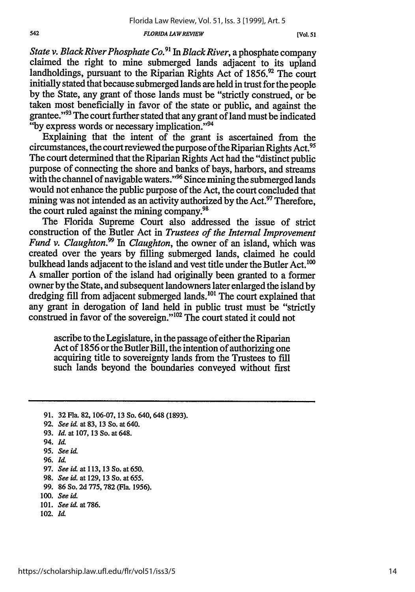*FLORIDA LAWREVIEW*

*State v. Black River Phosphate Co.91 In Black River,* a phosphate company claimed the right to mine submerged lands adjacent to its upland landholdings, pursuant to the Riparian Rights Act of 1856.<sup>92</sup> The court initially stated that because submerged lands are held in trust for the people by the State, any grant of those lands must be "strictly construed, or be taken most beneficially in favor of the state or public, and against the grantee."<sup>93</sup> The court further stated that any grant of land must be indicated "by express words or necessary implication."<sup>94</sup>

Explaining that the intent of the grant is ascertained from the circumstances, the court reviewed the purpose of the Riparian Rights Act. <sup>95</sup> The court determined that the Riparian Rights Act had the "distinct public purpose of connecting the shore and banks of bays, harbors, and streams with the channel of navigable waters."<sup>96</sup> Since mining the submerged lands would not enhance the public purpose of the Act, the court concluded that mining was not intended as an activity authorized by the Act. $\frac{97}{2}$  Therefore, the court ruled against the mining company.<sup>98</sup>

The Florida Supreme Court also addressed the issue of strict construction of the Butler Act in *Trustees of the Internal Improvement Fund v. Claughton.*<sup>99</sup> In *Claughton*, the owner of an island, which was created over the years by filing submerged lands, claimed he could bulkhead lands adjacent to the island and vest title under the Butler Act.<sup>100</sup> A smaller portion of the island had originally been granted to a former owner by the State, and subsequent landowners later enlarged the island by dredging fill from adjacent submerged lands.<sup>101</sup> The court explained that any grant in derogation of land held in public trust must be "strictly construed in favor of the sovereign."<sup>102</sup> The court stated it could not

ascribe to the Legislature, in the passage of either the Riparian Act of 1856 or the Butler Bill, the intention of authorizing one acquiring title to sovereignty lands from the Trustees to fill such lands beyond the boundaries conveyed without first

- **91. 32** Fla. **82, 106-07, 13 So.** 640, **648 (1893). 92.** *See L* at **83, 13 So.** at 640.
- **93.** *Id.* at **107, 13 So.** at 648.
- 94. *Id.*
- **95.** *See id.*
- **96.** *IL*
- **97.** *See id.* at **113, 13 So.** at **650.**
- **98.** *See id.* at **129, 13 So.** at **655.**
- **99. 86 So. 2d 775, 782** (Fla. **1956).**
- **100.** *See id.*
- **101.** *See id.* at **786.**
- 102. *Id.*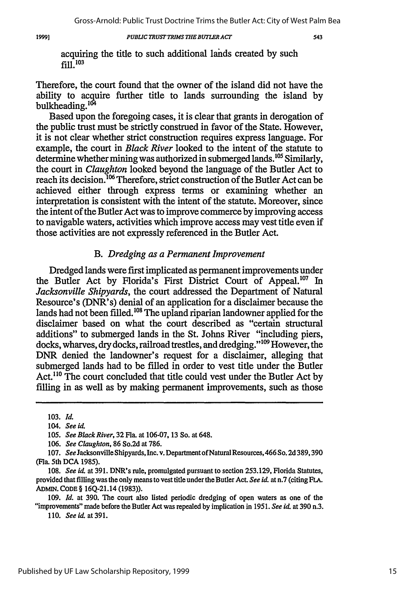19991

#### *PUBLIC TRUST TRIMS THE BUTLER ACT*

543

acquiring the title to such additional lands created by such fill.103

Therefore, the court found that the owner of the island did not have the ability to acquire further title to lands surrounding the island by bulkheading.<sup>104</sup>

Based upon the foregoing cases, it is clear that grants in derogation of the public trust must be strictly construed in favor of the State. However, it is not clear whether strict construction requires express language. For example, the court in *Black River* looked to the intent of the statute to determine whether mining was authorized in submerged lands.<sup>105</sup> Similarly, the court in *Claughton* looked beyond the language of the Butler Act to reach its decision.<sup>106</sup> Therefore, strict construction of the Butler Act can be achieved either through express terms or examining whether an interpretation is consistent with the intent of the statute. Moreover, since the intent of the Butler Act was to improve commerce by improving access to navigable waters, activities which improve access may vest title even if those activities are not expressly referenced in the Butler Act.

### *B. Dredging as a Permanent Improvement*

Dredged lands were first implicated as permanent improvements under the Butler Act by Florida's First District Court of Appeal.<sup>107</sup> In *Jacksonville Shipyards,* the court addressed the Department of Natural Resource's (DNR's) denial of an application for a disclaimer because the lands had not been filled.<sup>108</sup> The upland riparian landowner applied for the disclaimer based on what the court described as "certain structural additions" to submerged lands in the St. Johns River "including piers, docks, wharves, dry docks, railroad trestles, and dredging."<sup>109</sup> However, the DNR denied the landowner's request for a disclaimer, alleging that submerged lands had to be filled in order to vest title under the Butler Act.<sup>110</sup> The court concluded that title could vest under the Butler Act by filling in as well as by making permanent improvements, such as those

**110.** *Seeid.at391.*

<sup>103.</sup> *Id.*

*<sup>104.</sup> Seei.*

**<sup>105.</sup>** *See Black River,* **32 Fla.** at **106-07, 13** So. at 648.

*<sup>106.</sup> See Claughton,* **86** So.2d at 786.

**<sup>107.</sup>** *See* Jacksonville Shipyards, Inc. v. Department ofNatural Resources, 466 So. **2d 389,390** (Fla. 5th DCA 1985).

**<sup>108.</sup>** *See* **id.** at **391.** DNR's rule, promulgated pursuant to section **253.129,** Florida Statutes, provided that filling was the only means to vest title under the Butler Act. *See id.* at n.7 (citing **FLA.** ADMIN. **CODE** § **16Q-21.14 (1983)).**

*<sup>109.</sup> Id.* at **390.** The court also listed periodic dredging of open waters as one of the "improvements" made before the Butler Act was repealed **by** implication **in 1951.** *See id.* **at 390 n.3.**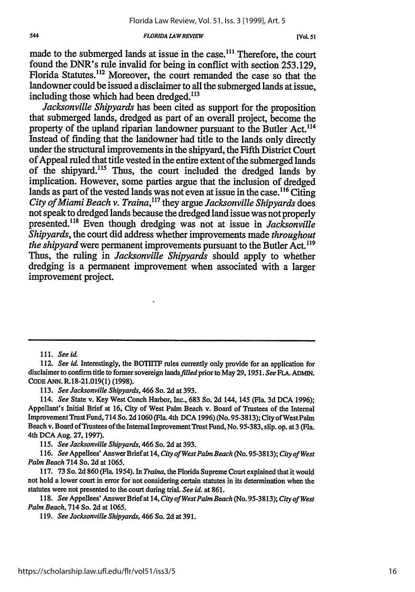#### *FLORIDA LAWREVIEW*

made to the submerged lands at issue in the case.<sup>111</sup> Therefore, the court found the DNR's rule invalid for being in conflict with section 253.129, Florida Statutes.<sup>112</sup> Moreover, the court remanded the case so that the landowner could be issued a disclaimer to all the submerged lands at issue, including those which had been dredged.<sup>113</sup>

*Jacksonville Shipyards* has been cited as support for the proposition that submerged lands, dredged as part of an overall project, become the property of the upland riparian landowner pursuant to the Butler Act.<sup>114</sup> Instead of finding that the landowner had title to the lands only directly under the structural improvements in the shipyard, the Fifth District Court of Appeal ruled that title vested in the entire extent of the submerged lands of the shipyard.<sup>115</sup> Thus, the court included the dredged lands by implication. However, some parties argue that the inclusion of dredged lands as part of the vested lands was not even at issue in the case.<sup>116</sup> Citing *City of Miami Beach v. Traina,117* they argue *Jacksonville Shipyards* does not speak to dredged lands because the dredged land issue was not properly presented.<sup>118</sup> Even though dredging was not at issue in *Jacksonville Shipyards,* the court did address whether improvements made *throughout the shipyard* were permanent improvements pursuant to the Butler Act.<sup>119</sup> Thus, the ruling in *Jacksonville Shipyards* should apply to whether dredging is a permanent improvement when associated with a larger improvement project.

**111.** *See id.*

113. *See Jacksonville Shipyards,* 466 So. **2d** at 393.

115. *See Jacksonville Shipyards,* 466 So. 2d at 393.

116. *See* Appeilees' AnswerBrief at 14, *City of West Palm Beach* (No. 95-3813); *City of West Palm Beach* 714 So. 2d at 1065.

117. 73 So. 2d 860 (Fla. 1954). In *Traina,* the Florida Supreme Court explained that it would not hold a lower court in error for not considering certain statutes in its determination when the statutes were not presented to the court during trial. *See id.* at 861.

118. *See* Appellees' Answer Brief at 14, *City ofWest Palm Beach* (No. 95-3813); *City of West Palm Beach,* 714 So. 2d at 1065.

119. *See Jacksonville Shipyards,* 466 So. 2d at 391.

<sup>112.</sup> *See id.* Interestingly, the BOTIITF rules currently only provide for an application for disclaimer to confirm title to former sovereign *lands filled* prior to May 29, 1951. *See FLA.* ADMIN. CODE ANN. R.18-21.019(1) (1998).

<sup>114.</sup> *See* State v. Key West Conch Harbor, Inc., 683 So. 2d 144, 145 (Fla. 3d **DCA** 1996); Appellant's Initial Brief at 16, City of West Palm Beach v. Board of Trustees of the Internal Improvement Trust Fund, 714 So. 2d 1060 (Fla. 4th DCA 1996) (No. 95-3813); City of West Palm Beach v. Board of Trustees of the Internal Improvement Trust Fund, No. 95-383, slip. op. at 3 (Fla. 4th **DCA** Aug. **27,** 1997).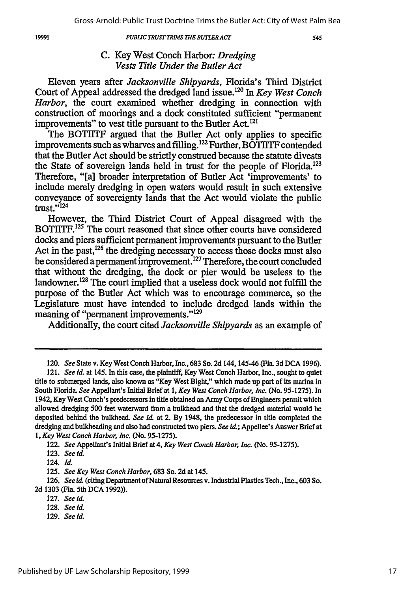*PUBLC TRUST TRIMS THE BUTLER ACT*

545

# C. Key West Conch Harbor. *Dredging Vests Title Under the Butler Act*

Eleven years after *Jacksonville Shipyards,* Florida's Third District Court of Appeal addressed the dredged land issue.<sup>120</sup> In *Key West Conch Harbor,* the court examined whether dredging in connection with construction of moorings and a dock constituted sufficient "permanent improvements" to vest title pursuant to the Butler Act.<sup>121</sup>

The BOTIITF argued that the Butler Act only applies to specific improvements such as wharves and filling.<sup>122</sup> Further, BOTIITF contended that the Butler Act should be strictly construed because the statute divests the State of sovereign lands held in trust for the people of Florida.<sup>123</sup> Therefore, "[a] broader interpretation of Butler Act 'improvements' to include merely dredging in open waters would result in such extensive conveyance of sovereignty lands that the Act would violate the public trust.' 124

However, the Third District Court of Appeal disagreed with the BOTIITF.<sup>125</sup> The court reasoned that since other courts have considered docks and piers sufficient permanent improvements pursuant to the Butler Act in the past,  $^{126}$  the dredging necessary to access those docks must also be considered a permanent improvement.127 Therefore, the court concluded that without the dredging, the dock or pier would be useless to the landowner.<sup>128</sup> The court implied that a useless dock would not fulfill the purpose of the Butler Act which was to encourage commerce, so the Legislature must have intended to include dredged lands within the meaning of "permanent improvements."<sup>129</sup>

Additionally, the court cited *Jacksonville Shipyards* as an example of

122. *See* Appellant's Initial Brief at 4, *Key West Conch Harbor, Inc.* (No. 95-1275).

127. *See id.*

129. *See id.*

<sup>120.</sup> *See* State v. Key West Conch Harbor, Inc., 683 So. 2d 144,145-46 (Fla. 3d DCA 1996).

<sup>121.</sup> *See id* at 145. In this case, the plaintiff, Key West Conch Harbor, Inc., sought to quiet title to submerged lands, also known as "Key West Bight," which made up part of its marina in South Florida. *See* Appellant's Initial Brief at 1, *Key West Conch Harbor, Inc. (No.* **95-1275).** In 1942, Key West Conch's predecessors in title obtained an Army Corps of Engineers permit which allowed dredging 500 feet waterward from a bulkhead and that the dredged material would be deposited behind the bulkhead. *See id.* at 2. By 1948, the predecessor in title completed the dredging and bulkheading and also had constructed two piers. *See idi;* Appellee's Answer Brief at *1, Key West Conch Harbor, Inc.* (No. 95-1275).

<sup>123.</sup> *See id.*

<sup>124.</sup> *Id.*

**<sup>125.</sup>** *See Key West Conch Harbor,* **683** So. **2d** at 145.

<sup>126.</sup> *See id.* (citing Department of Natural Resources v. Industrial Plastics Tech., Inc., 603 So. 2d **1303** (Fla. 5th DCA **1992)).**

<sup>128.</sup> *See id.*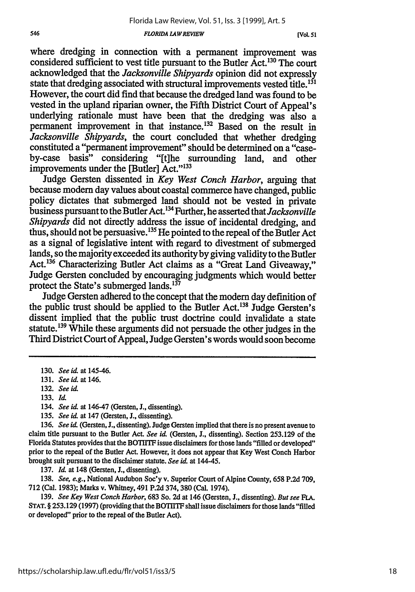#### *FLORIDA LAWREVIEW*

where dredging in connection with a permanent improvement was considered sufficient to vest title pursuant to the Butler Act.130 The court acknowledged that the *Jacksonville Shipyards* opinion did not expressly state that dredging associated with structural improvements vested title.<sup>131</sup> However, the court did find that because the dredged land was found to be vested in the upland riparian owner, the Fifth District Court of Appeal's underlying rationale must have been that the dredging was also a permanent improvement in that instance.<sup>132</sup> Based on the result in *Jacksonville Shipyards,* the court concluded that whether dredging constituted a "permanent improvement" should be determined on a "caseby-case basis" considering "[tihe surrounding land, and other improvements under the [Butler] Act."<sup>133</sup>

Judge Gersten dissented in *Key West Conch Harbor,* arguing that because modem day values about coastal commerce have changed, public policy dictates that submerged land should not be vested in private business pursuant to the Butler Act.<sup>134</sup> Further, he asserted that *Jacksonville Shipyards* did not directly address the issue of incidental dredging, and thus, should not be persuasive.  $^{135}$  He pointed to the repeal of the Butler Act as a signal of legislative intent with regard to divestment of submerged lands, so the majority exceeded its authority by giving validity to the Butler Act.<sup>136</sup> Characterizing Butler Act claims as a "Great Land Giveaway," Judge Gersten concluded by encouraging judgments which would better protect the State's submerged lands. $137$ 

Judge Gersten adhered to the concept that the modem day definition of the public trust should be applied to the Butler Act.'38 Judge Gersten's dissent implied that the public trust doctrine could invalidate a state statute.<sup>139</sup> While these arguments did not persuade the other judges in the Third District Court of Appeal, Judge Gersten's words would soon become

- 134. *See* **id.** at 146-47 (Gersten, L, dissenting).
- **135.** *See id.* at 147 (Gersten, J., dissenting).

137. Id. at 148 (Gersten, J., dissenting).

138. *See, e.g.,* National Audubon Soc'y v. Superior Court of Alpine County, 658 P.2d 709, **712** (Cal. 1983); Marks v. Whitney, 491 P.2d 374,380 (Cal. 1974).

139. *See Key West Conch Harbor,* 683 So. 2d at 146 (Gersten, **J.,** dissenting). *But see* FLA. **STAT.** § 253.129 (1997) (providing that the BOTIITF shall issue disclaimers for those lands "filled or developed" prior to the repeal of the Butler Act).

<sup>130.</sup> *See* id. at 145-46.

<sup>131.</sup> *See id. at* 146.

<sup>132.</sup> *See* **id.**

<sup>133.</sup> *l*

<sup>136.</sup> *See id.* (Gersten, **J.,** dissenting). Judge Gersten implied that there is no present avenue to claim title pursuant to the Butler Act. *See id.* (Gersten, **J.,** dissenting). Section **253.129** of the Florida Statutes provides that the BOTI1TF issue disclaimers for those lands "filled or developed" prior to the repeal of the Butler Act. However, it does not appear that Key West Conch Harbor brought suit pursuant to the disclaimer statute. *See id.* at 144-45.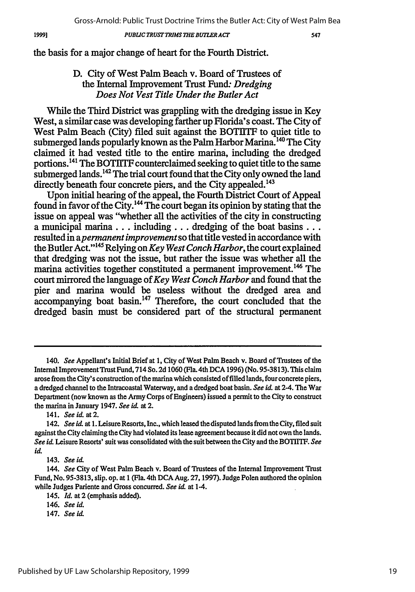*PUBLIC TRUST TRIMS 7E BUTLER ACT*

547

the basis for a major change of heart for the Fourth District.

# D. City of West Palm Beach v. Board of Trustees of the Internal Improvement Trust Fund. *Dredging Does Not Vest Title Under the Butler Act*

While the Third District was grappling with the dredging issue in Key West, a similar case was developing farther up Florida's coast. The City of West Palm Beach (City) filed suit against the BOTIITF to quiet title to submerged lands popularly known as the Palm Harbor Marina.<sup>140</sup> The City claimed it had vested title to the entire marina, including the dredged portions. 141 The BOTlITF counterclaimed seeking to quiet title to the same submerged lands.<sup>142</sup> The trial court found that the City only owned the land directly beneath four concrete piers, and the City appealed.<sup>143</sup>

Upon initial hearing of the appeal, the Fourth District Court of Appeal found in favor of the City.<sup>144</sup> The court began its opinion by stating that the issue on appeal was "whether all the activities of the city in constructing a municipal **marina... including...** dredging of the boat basins... resulted in *apermanent improvement* so that title vested in accordance with the Butler Act.' 145 Relying on *Key West Conch Harbor,* the court explained that dredging was not the issue, but rather the issue was whether all the marina activities together constituted a permanent improvement.<sup>146</sup> The court mirrored the language of *Key West Conch Harbor* and found that the pier and marina would be useless without the dredged area and accompanying boat basin. 47 Therefore, the court concluded that the dredged basin must be considered part of the structural permanent

143. *See* id.

19991

*<sup>140.</sup> See* Appellant's Initial Brief at **1,** City of West Palm Beach v. Board of Trustees of the Internal ImprovementTrust Fund, 714 So. **2d** 1060 (Fla. 4th **DCA** 1996) (No. 95-3813). This claim arose from the City's construction of the marina which consisted of filled lands, four concrete piers, a dredged channel to the Intracoastal Waterway, and a dredged boat basin. *See id.* at 2-4. The War Department (now known as the Army Corps of Engineers) issued a permit to the City to construct the marina in January 1947. *See id.* at 2.

<sup>141.</sup> *See id.* at 2.

<sup>142.</sup> *See* **id.** at 1. Leisure Resorts, Inc., which leased the disputed lands from the City, filed suit against the City claiming the City had violated its lease agreement because it did not own the lands. *See id.* Leisure Resorts' suit was consolidated with the suit between the City and the BOTIITF. *See* id.

*<sup>144.</sup> See* City of West Palm Beach v. Board of Trustees of the Internal Improvement Trust Fund, No. 95-3813, slip. op. at **I** (Fla. 4th **DCA** Aug. **27,** 1997). Judge Polen authored the opinion while Judges Pariente and Gross concurred. *See* **id.** at 1-4.

<sup>145.</sup> *Id.* at 2 (emphasis added).

<sup>146.</sup> *See id.*

<sup>147.</sup> *See* id.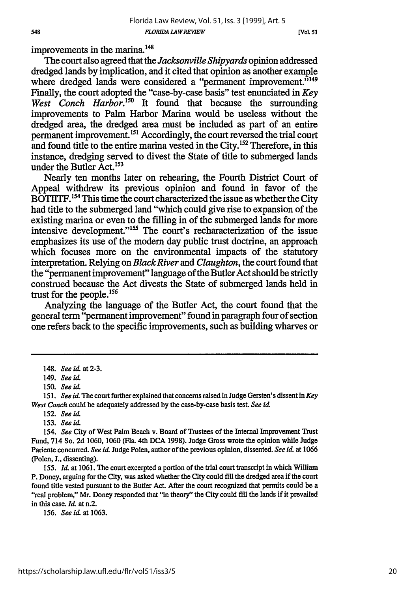improvements in the marina.<sup>148</sup>

The court also agreed that the *Jacksonville Shipyards* opinion addressed dredged lands by implication, and it cited that opinion as another example where dredged lands were considered a "permanent improvement."<sup>149</sup> Finally, the court adopted the "case-by-case basis" test enunciated in *Key West Conch Harbor.150* It found that because the surrounding improvements to Palm Harbor Marina would be useless without the dredged area, the dredged area must be included as part of an entire permanent improvement.<sup>151</sup> Accordingly, the court reversed the trial court and found title to the entire marina vested in the City.<sup>152</sup> Therefore, in this instance, dredging served to divest the State of title to submerged lands under the Butler  $Act.<sup>153</sup>$ 

Nearly ten months later on rehearing, the Fourth District Court of Appeal withdrew its previous opinion and found in favor of the BOTIITF.<sup>154</sup> This time the court characterized the issue as whether the City had title to the submerged land "which could give rise to expansion of the existing marina or even to the filling in of the submerged lands for more intensive development."155 The court's recharacterization of the issue emphasizes its use of the modem day public trust doctrine, an approach which focuses more on the environmental impacts of the statutory interpretation. Relying on *Black River and Claughton,* the court found that the "permanent improvement" language of the Butler Act should be strictly construed because the Act divests the State of submerged lands held in trust for the people. <sup>156</sup>

Analyzing the language of the Butler Act, the court found that the general term "permanent improvement" found in paragraph four of section one refers back to the specific improvements, such as building wharves or

156. *See icL* at 1063.

<sup>148.</sup> *See id.* at 2-3.

<sup>149.</sup> *See id.*

*<sup>150.</sup> See id.*

*<sup>151.</sup> See id.* The court further explained that concerns raised in Judge Gersten's dissent in *Key West Conch* could be adequately addressed by the case-by-case basis test. *See id.*

<sup>152.</sup> *See id.*

<sup>153.</sup> *See id.*

*<sup>154.</sup> See* City of West Palm Beach v. Board of Trustees of the Internal Improvement Trust Fund, 714 So. **2d** 1060, 1060 (Fla. 4th **DCA 1998).** Judge Gross wrote the opinion while Judge Pariente concurred. *See id.* Judge Polen, author of the previous opinion, dissented. *See id.* at 1066 (Polen, J., dissenting).

*<sup>155.</sup> Id.* at 1061. The court excerpted a portion of the trial court transcript in which William P. Doney, arguing for the City, was asked whether the City could **fill** the dredged area if the court found title vested pursuant to the Butler Act. After the court recognized that permits could be a "real problem," Mr. Doney responded that "in theory" the City could fill the lands if it prevailed in this case. *Id.* at n.2.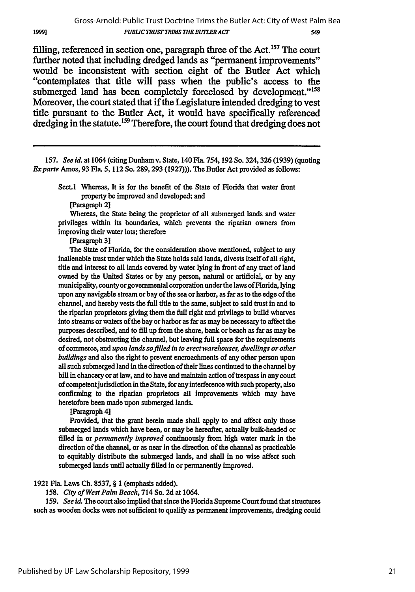filling, referenced in section one, paragraph three of the Act.<sup>157</sup> The court further noted that including dredged lands as "permanent improvements" would be inconsistent with section eight of the Butler Act which "contemplates that title will pass when the public's access to the submerged land has been completely foreclosed by development."<sup>158</sup> Moreover, the court stated that if the Legislature intended dredging to vest title pursuant to the Butler Act, it would have specifically referenced dredging in the statute.<sup>159</sup> Therefore, the court found that dredging does not

**157.** *See id.* at 1064 (citing Dunham v. State, 140 Fla. **754,192** So. 324,326 **(1939)** (quoting *Exparte* Amos, **93** Fla. **5, 112** So. **289, 293 (1927))).** The **Butler** Act provided as follows:

Sect.1 Whereas, It is for the benefit of the State of Florida that water front property be improved and developed; and

[Paragraph **2]**

1999]

Whereas, the State being the proprietor of all submerged lands and water privileges within its boundaries, which prevents the riparian owners from improving their water lots; therefore

[Paragraph **3]**

The State of Florida, for the consideration above mentioned, subject to any inalienable trust under which the State holds said lands, divests itself of all right, title and interest to all lands covered **by** water lying in front of any tract of land owned **by** the United States or **by** any person, natural or artificial, or **by** any municipality, county or governmental corporation underthe laws of Florida, lying upon any navigable stream or bay of the sea or harbor, as far as to the edge of the channel, and hereby vests the full **title** to the same, subject to said trust in and to the riparian proprietors giving them the full right and privilege to build wharves into streams or waters of the bay or harbor as far as may be necessary to affect the purposes described, and to **fill** up from the shore, bank or beach as far as may be desired, not obstructing the channel, but leaving full space for the requirements of commerce, and *upon lands so filled in to erect warehouses, dwellings or other buildings* and also the right to prevent encroachments of any other person upon all such submerged land in the direction of their lines continued to the channel **by** bill in chancery or at law, and to have and maintain action of trespass in any court of competent jurisdiction in the State, for any interference with such property, also confirming to the riparian proprietors all improvements which may have heretofore been made upon submerged lands.

[Paragraph **4]**

Provided, that the grant herein made shall apply to and affect only those submerged lands which have been, or may be hereafter, actually bulk-headed or filled in or *permanently improved* continuously from high water mark in the direction of the channel, or as near in the direction of the channel as practicable to equitably distribute the submerged lands, and shall in no wise affect such submerged lands until actually filled in or permanently improved.

**1921** Fla. Laws **Ch. 8537,** § **1** (emphasis added).

*158. City of West Palm Beach,* 714 So. **2d** at 1064.

*159. See* **id,** The court also implied that since the Florida Supreme Court found that structures such as wooden docks were not sufficient to qualify as permanent improvements, dredging could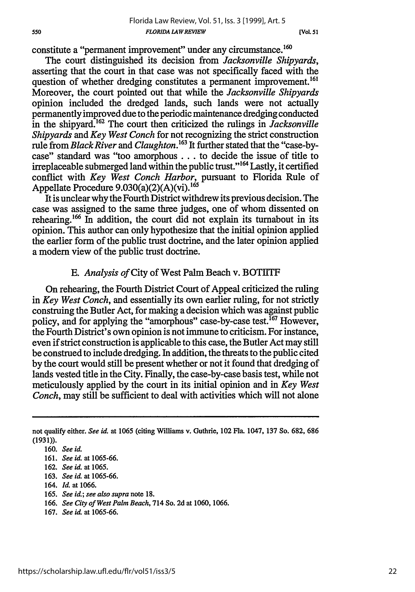constitute a "permanent improvement" under any circumstance.<sup>160</sup>

The court distinguished its decision from *Jacksonville Shipyards,* asserting that the court in that case was not specifically faced with the question of whether dredging constitutes a permanent improvement.<sup>161</sup> Moreover, the court pointed out that while the *Jacksonville Shipyards* opinion included the dredged lands, such lands were not actually permanently improved due to the periodic maintenance dredging conducted in the shipyard.<sup>162</sup> The court then criticized the rulings in *Jacksonville Shipyards and Key West Conch* for not recognizing the strict construction rule from *Black River* and *Claughton*.<sup>163</sup> It further stated that the "case-bycase" standard was "too amorphous... to decide the issue of title to irreplaceable submerged land within the public trust."'6' Lastly, it certified conflict with *Key West Conch Harbor,* pursuant to Florida Rule of Appellate Procedure 9.030(a)(2)(A)(vi).<sup>165</sup>

It is unclear why the Fourth District withdrew its previous decision. The case was assigned to the same three judges, one of whom dissented on rehearing.166 In addition, the court did not explain its turnabout in its opinion. This author can only hypothesize that the initial opinion applied the earlier form of the public trust doctrine, and the later opinion applied a modem view of the public trust doctrine.

### **E.** Analysis of City of West Palm Beach v. BOTIITF

On rehearing, the Fourth District Court of Appeal criticized the ruling in *Key West Conch,* and essentially its own earlier ruling, for not strictly construing the Butler Act, for making a decision which was against public policy, and for applying the "amorphous" case-by-case test.  $^{167}$  However, the Fourth District's own opinion is not immune to criticism. For instance, even if strict construction is applicable to this case, the Butler Act may still be construed to include dredging. In addition, the threats to the public cited by the court would still be present whether or not it found that dredging of lands vested title in the City. Finally, the case-by-case basis test, while not meticulously applied by the court in its initial opinion and in *Key West Conch,* may still be sufficient to deal with activities which will not alone

- 163. *See id.* at 1065-66.
- 164. *Id.* at 1066.
- **165.** *See id.; see also supra* note **18.**
- 166. *See City of West Palm Beach,* 714 So. 2d at 1060, 1066.
- 167. *See id.* at 1065-66.

not qualify either. *See id.* at **1065** (citing Williams v. Guthrie, 102 Fla. 1047, **137** So. 682, **686** (1931)).

<sup>160.</sup> *See id.*

**<sup>161.</sup>** *See id.* at 1065-66.

**<sup>162.</sup>** *See id.* at **1065.**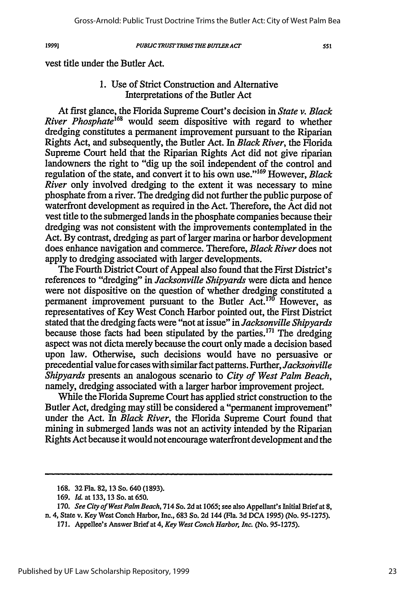1999]

#### *PUBLIC TRUST TRIMS THE BUTLERACT*

551

vest title under the Butler Act.

# 1. Use of Strict Construction and Alternative Interpretations of the Butler Act

At first glance, the Florida Supreme Court's decision in *State v. Black River Phosphate*<sup>168</sup> would seem dispositive with regard to whether dredging constitutes a permanent improvement pursuant to the Riparian Rights Act, and subsequently, the Butler Act. In *Black River,* the Florida Supreme Court held that the Riparian Rights Act did not give riparian landowners the right to "dig up the soil independent of the control and regulation of the state, and convert it to his own use."<sup>169</sup> However, *Black River* only involved dredging to the extent it was necessary to mine phosphate from a river. The dredging did not further the public purpose of waterfront development as required in the Act. Therefore, the Act did not vest title to the submerged lands in the phosphate companies because their dredging was not consistent with the improvements contemplated in the Act. By contrast, dredging as part of larger marina or harbor development does enhance navigation and commerce. Therefore, *Black River* does not apply to dredging associated with larger developments.

The Fourth District Court of Appeal also found that the First District's references to "dredging" in *Jacksonville Shipyards* were dicta and hence were not dispositive on the question of whether dredging constituted a permanent improvement pursuant to the Butler Act.<sup>170</sup> However, as representatives of Key West Conch Harbor pointed out, the First District stated that the dredging facts were "not at issue" in *Jacksonville Shipyards* because those facts had been stipulated by the parties.<sup> $171$ </sup> The dredging aspect was not dicta merely because the court only made a decision based upon law. Otherwise, such decisions would have no persuasive or precedential value for cases with similar fact patterns. Further, *Jacksonville Shipyards* presents an analogous scenario to *City of West Palm Beach,* namely, dredging associated with a larger harbor improvement project.

While the Florida Supreme Court has applied strict construction to the Butler Act, dredging may still be considered a "permanent improvement" under the Act. In *Black River,* the Florida Supreme Court found that mining in submerged lands was not an activity intended by the Riparian Rights Act because it would not encourage waterfront development and the

**<sup>168.</sup>** 32Fla. 82, 13 **So.** 640 (1893).

**<sup>169.</sup>** *Id.* at **133, 13** So. at **650.**

**<sup>170.</sup>** *See City of West Palm Beach,* **714 So. 2d** at **1065; see also Appellant's Initial Brief at 8, n. 4, State v. Key West Conch Harbor, Inc., 683 So. 2d 144 (Fla. 3d DCA 1995) (No. 95-1275).**

**<sup>171.</sup> Appellee's Answer Brief at** *4, Key West Conch Harbor, Inc.* **(No. 95-1275).**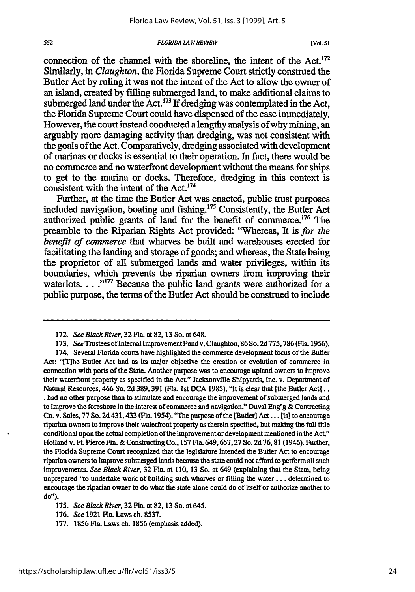#### *FLORIDA ZAWREVIEW*

552

connection of the channel with the shoreline, the intent of the Act.<sup>172</sup> Similarly, in *Claughton,* the Florida Supreme Court strictly construed the Butler Act by ruling it was not the intent of the Act to allow the owner of an island, created by filling submerged land, to make additional claims to submerged land under the Act.<sup>173</sup> If dredging was contemplated in the Act, the Florida Supreme Court could have dispensed of the case immediately. However, the court instead conducted a lengthy analysis of why mining, an arguably more damaging activity than dredging, was not consistent with the goals of the Act. Comparatively, dredging associated with development of marinas or docks is essential to their operation. In fact, there would be no commerce and no waterfront development without the means for ships to get to the marina or docks. Therefore, dredging in this context is consistent with the intent of the Act.<sup>174</sup>

Further, at the time the Butler Act was enacted, public trust purposes included navigation, boating and fishing.<sup>175</sup> Consistently, the Butler Act authorized public grants of land for the benefit of commerce.176 The preamble to the Riparian Rights Act provided: "Whereas, It is *for the benefit of commerce* that wharves be built and warehouses erected for facilitating the landing and storage of goods; and whereas, the State being the proprietor of all submerged lands and water privileges, within its boundaries, which prevents the riparian owners from improving their waterlots... .<sup>"177</sup> Because the public land grants were authorized for a public purpose, the terms of the Butler Act should be construed to include

<sup>172.</sup> *See Black River,* 32 Fla. at **82,** 13 So. at 648.

<sup>173.</sup> *See* Trustees of Internal Improvement Fund v. Claughton, 86 So. 2d 775,786 (Fla. 1956).

<sup>174.</sup> Several Florida courts have highlighted the commerce development focus of the Butler Act: "[T]he Butler Act had as its major objective the creation or evolution of commerce in connection with ports of the State. Another purpose was to encourage upland owners to improve their waterfront property as specified in the Act." Jacksonville Shipyards, Inc. v. Department of Natural Resources, 466 So. **2d** 389, 391 (Fla. 1st **DCA** 1985). "It is clear that [the Butler Act].. **.** had no other purpose than to stimulate and encourage the improvement of submerged lands and to improve the foreshore in the interest of commerce and navigation." Duval Eng'g & Contracting Co. v. Sales, 77 So. **2d** 431,433 (Fla. 1954). "The purpose of the [Butler] Act... [is] to encourage riparian owners to improve their waterfront property as therein specified, but making the full title conditional upon the actual completion of the improvement or development mentioned in the Act.' Holland v. Ft. Pierce Fin. & Constructing Co., 157 Fla. 649, 657,27 So. **2d** 76, 81 (1946). Further, the Florida Supreme Court recognized that the legislature intended the Butler Act to encourage riparian owners to improve submerged lands because the state could not afford to perform all such improvements. *See Black River,* **32** Fla. at 110, 13 So. at 649 (explaining that the State, being unprepared "to undertake work of building such wharves or filling the water... determined to encourage the riparian owner to do what the state alone could do of itself or authorize another to **do").**

**<sup>175.</sup>** *See Black River,* **32** Fla. at **82, 13** So. at 645.

**<sup>176.</sup>** *See* **1921** Fla. Laws ch. **8537.**

**<sup>177. 1856</sup>** Fla. Laws ch. **1856** (emphasis added).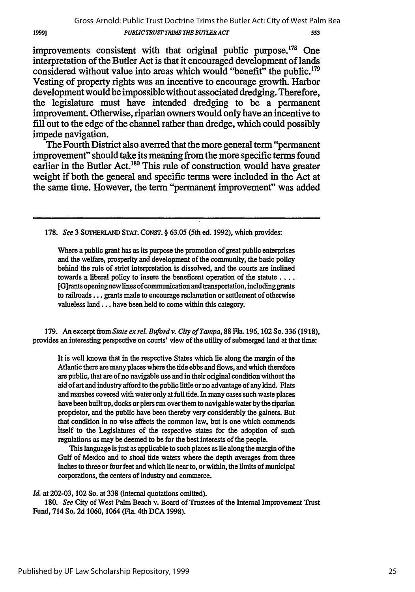#### Gross-Arnold: Public Trust Doctrine Trims the Butler Act: City of West Palm Bea *PUBLIC TRUST TRIMS THEBUTLER ACT* 553

improvements consistent with that original public purpose.<sup>178</sup> One interpretation of the Butler Act is that it encouraged development of lands considered without value into areas which would "benefit" the public.179 Vesting of property rights was an incentive to encourage growth. Harbor development would be impossible without associated dredging. Therefore, the legislature must have intended dredging to be a permanent improvement. Otherwise, riparian owners would only have an incentive to **fill** out to the edge of the channel rather than dredge, which could possibly impede navigation.

19991

The Fourth District also averred that the more general term "permanent improvement" should take its meaning from the more specific terms found earlier in the Butler Act.<sup>180</sup> This rule of construction would have greater weight if both the general and specific terms were included in the Act at the same time. However, the term "permanent improvement" was added

178. *See* **3 SUTHERLAND STAT. CONST.** § **63.05** (5th ed. **1992),** which provides:

Where a public grant has as its purpose the promotion of great public enterprises and the welfare, prosperity and development of the community, the basic policy behind the rule of strict interpretation is dissolved, and the courts are inclined towards a liberal policy to insure the beneficent operation of the statute .... [G]rants opening new lines of communication and transportation, including grants to railroads... grants made to encourage reclamation or settlement of otherwise valueless land... have been held to come within this category.

179. An excerpt from *State ex rel. Buford v. City of Tampa,* 88 Fla. 196, **102** So. **336** (1918), provides an interesting perspective on courts' view of the utility of submerged land at that time:

It is well known that in the respective States which lie along the margin of the Atlantic there are many places where the tide ebbs and flows, and which therefore are public, that are of no navigable use and in their original condition without the aid of art and industry afford to the public little or no advantage of any kind. Flats and marshes covered with water only at full tide. In many cases such waste places have been built up, docks or piers *run* over them to navigable water **by** the riparian proprietor, and the public have been thereby very considerably the gainers. But that condition in no wise affects the common law, but is one which commends itself to the Legislatures of the respective states for the adoption of such regulations as may be deemed to be for the best interests of the people.

This language is just as applicable to such places as lie along the margin of the Gulf of Mexico and to shoal tide waters where the depth averages from three inches to three or four feet and which lie near to, or within, the limits of municipal corporations, the centers of industry and commerce.

*Id.* at 202-03, 102 So. at 338 (internal quotations omitted).

180. *See* City of West Palm Beach v. Board of Trustees of the Internal Improvement Trust Fund, 714 So. 2d 1060, 1064 (Fla. 4th **DCA** 1998).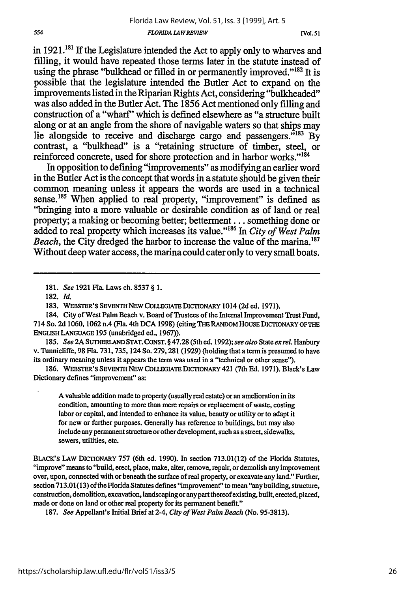**[V4ol.** *51*

in  $1921$ <sup>181</sup> If the Legislature intended the Act to apply only to wharves and filling, it would have repeated those terms later in the statute instead of using the phrase "bulkhead or filled in or permanently improved."<sup>182</sup> It is possible that the legislature intended the Butler Act to expand on the improvements listed in the Riparian Rights Act, considering "bulkheaded" was also added in the Butler Act. The 1856 Act mentioned only filling and construction of a "wharf" which is defined elsewhere as "a structure built along or at an angle from the shore of navigable waters so that ships may lie alongside to receive and discharge cargo and passengers.<sup>7183</sup> By contrast, a "bulkhead" is a "retaining structure of timber, steel, or reinforced concrete, used for shore protection and in harbor works."<sup>184</sup>

In opposition to defining "improvements" as modifying an earlier word in the Butler Act is the concept that words in a statute should be given their common meaning unless it appears the words are used in a technical sense.<sup>185</sup> When applied to real property, "improvement" is defined as "bringing into a more valuable or desirable condition as of land or real property; a making or becoming better; betterment... something done or added to real property which increases its value."'186 In *City of West Palm Beach*, the City dredged the harbor to increase the value of the marina.<sup>187</sup> Without deep water access, the marina could cater only to very small boats.

185. *See* 2A **SUTHERLANDSTAT. CONST.** § 47.28 (5th ed. 1992); *see also* State *etxreL* Hanbury v. Tunnicliffe, 98 Fla. 731,735, 124 So. 279,281 (1929) (holding that a term is presumed to have its ordinary meaning unless it appears the term was used in a "technical or other sense").

186. **WEBSTER'S SEVENTH** NEW **COLLEGIATE** DICTIONARY 421 (7th Ed. 1971). Black's Law Dictionary defines "improvement" as:

A valuable addition made to property (usually real estate) or an amelioration in its condition, amounting to more than mere repairs or replacement of waste, costing labor or capital, and intended to enhance its value, beauty or utility or to adapt it for new or further purposes. Generally has reference to buildings, but may also include any permanent structure or other development, such as a street, sidewalks, sewers, utilities, etc.

BLACK'S LAW DICTIONARY 757 (6th ed. 1990). In section 713.01(12) of the Florida Statutes, "improve" means to "build, erect, place, make, alter, remove, repair, or demolish any improvement over, upon, connected with or beneath the surface of real property, or excavate any land." Further, section 713.01(13) ofthe Florida Statutes defines "improvement" to mean "any building, structure, construction, demolition, excavation, landscaping or any part thereofexisting, built, erected, placed, made or done on land or other real property for its permanent benefit."

187. *See* Appellant's Initial Brief at 2-4, *City of West Palm Beach* (No. 95-3813).

<sup>181.</sup> *See* 1921 Fla. Laws ch. 8537 § 1.

<sup>182.</sup> *Id.*

<sup>183.</sup> **WEBSTER'S** SEVENTH **NEW COUEGIATE DICTIONARY** 1014 (2d ed. 1971).

<sup>184.</sup> City of West Palm Beach v. Board of Trustees of the Internal Improvement Trust Fund, 714 So. 2d 1060, 1062 n.4 (Fla. 4th **DCA** 1998) (citing **TIE** RANDOM HOUSE DICIONARY **OFTHE ENGLISH LANGUAGE** 195 (unabridged ed., 1967)).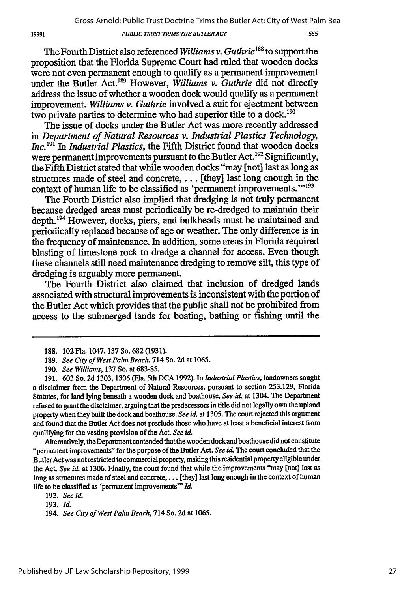#### *PUBLIC TRUSTTRIMS THE BUTLER ACT*

555

The Fourth District also referenced *Williams v. Guthrie'88* to support the proposition that the Florida Supreme Court had ruled that wooden docks were not even permanent enough to qualify as a permanent improvement under the Butler Act.189 However, *Williams v. Guthrie* did not directly address the issue of whether a wooden dock would qualify as a permanent improvement. *Williams v. Guthrie* involved a suit for ejectment between two private parties to determine who had superior title to a dock.<sup>190</sup>

The issue of docks under the Butler Act was more recently addressed in *Department of Natural Resources v. Industrial Plastics Technology, Inc.<sup>191</sup>* In *Industrial Plastics*, the Fifth District found that wooden docks were permanent improvements pursuant to the Butler Act.<sup>192</sup> Significantly, the Fifth District stated that while wooden docks "may [not] last as long as structures made of steel and concrete,... [they] last long enough in the context of human life to be classified as 'permanent improvements."<sup>193</sup>

The Fourth District also implied that dredging is not truly permanent because dredged areas must periodically be re-dredged to maintain their depth.<sup>194</sup> However, docks, piers, and bulkheads must be maintained and periodically replaced because of age or weather. The only difference is in the frequency of maintenance. In addition, some areas in Florida required blasting of limestone rock to dredge a channel for access. Even though these channels still need maintenance dredging to remove silt, this type of dredging is arguably more permanent.

The Fourth District also claimed that inclusion of dredged lands associated with structural improvements is inconsistent with the portion of the Butler Act which provides that the public shall not be prohibited from access to the submerged lands for boating, bathing or fishing until the

Alternatively, the Department contended that the wooden dock and boathouse did not constitute "permanent improvements" for the purpose of the Butler Act. *See id.* The court concluded that the Butler Act was not restricted to commercial property, making this residential property eligible under the Act. *See id.* at 1306. Finally, the court found that while the improvements "may [not] last as long as structures made of steel and concrete, . . . [they] last long enough in the context of human life to be classified as 'permanent improvements"' *Id.*

<sup>188. 102</sup>Fia. 1047, 137 So. 682 (1931).

<sup>189.</sup> *See City of West Palm Beach,* 714 So. 2d at 1065.

<sup>190.</sup> *See Williams,* 137 So. at 683-85.

<sup>191. 603</sup> So. **2d** 1303, 1306 (Fla. 5th DCA 1992). In *Industrial Plastics,* landowners sought a disclaimer from the Department of Natural Resources, pursuant to section 253.129, Florida Statutes, for land lying beneath a wooden dock and boathouse. *See id.* at 1304. The Department refused to grant the disclaimer, arguing that the predecessors in title did not legally own the upland property when they built the dock and boathouse. *See id.* at 1305. The court rejected this argument and found that the Butler Act does not preclude those who have at least a beneficial interest from qualifying for the vesting provision of the Act. *See id.*

<sup>192.</sup> *See i*

<sup>193.</sup> *Id.*

<sup>194.</sup> *See City of West Palm Beach,* 714 So. **2d** at 1065.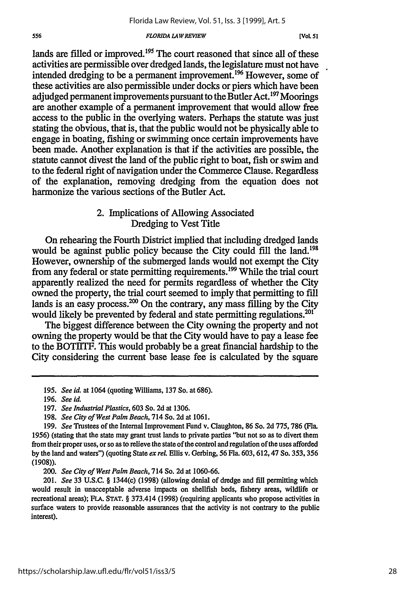#### *FLORIDA LAW REVIEW*

**[VOL 51**

lands are filled or improved.<sup>195</sup> The court reasoned that since all of these activities are permissible over dredged lands, the legislature must not have intended dredging to be a permanent improvement. **196** However, some of these activities are also permissible under docks or piers which have been adjudged permanent improvements pursuant to the Butler Act.<sup>197</sup> Moorings are another example of a permanent improvement that would allow free access to the public in the overlying waters. Perhaps the statute was just stating the obvious, that is, that the public would not be physically able to engage in boating, fishing or swimming once certain improvements have been made. Another explanation is that if the activities are possible, the statute cannot divest the land of the public right to boat, fish or swim and to the federal right of navigation under the Commerce Clause. Regardless of the explanation, removing dredging from the equation does not harmonize the various sections of the Butler Act.

### 2. Implications of Allowing Associated Dredging to Vest Title

On rehearing the Fourth District implied that including dredged lands would be against public policy because the City could fill the land.<sup>198</sup> However, ownership of the submerged lands would not exempt the City from any federal or state permitting requirements.<sup>199</sup> While the trial court apparently realized the need for permits regardless of whether the City owned the property, the trial court seemed to imply that permitting to fill lands is an easy process.<sup>200</sup> On the contrary, any mass filling by the City would likely be prevented by federal and state permitting regulations.<sup>201</sup>

The biggest difference between the City owning the property and not owning the property would be that the City would have to pay a lease fee to the BOTIITF. This would probably be a great financial hardship to the City considering the current base lease fee is calculated by the square

*<sup>195.</sup> See id.* at 1064 (quoting Williams, 137 So. at 686).

<sup>196.</sup> *See id.*

<sup>197.</sup> *See Industrial Plastics,* 603 So. 2d at 1306.

<sup>198.</sup> *See City of West Palm Beach,* 714 So. 2d at 1061.

<sup>199.</sup> *See* Trustees of the Internal Improvement Fund v. Claughton, 86 So. 2d 775, 786 (Fla. **1956)** (stating that the state may grant trust lands to private parties "but not so as to divert them from their proper uses, or so as to relieve the state of the control and regulation of the uses afforded **by** the land and waters") (quoting State *ex rel.* Ellis v. Gerbing, 56 Fla. 603, 612, 47 So. 353, 356 (1908)).

*<sup>200.</sup> See City of West Palm Beach,* 714 So. 2d at 1060-66.

<sup>201.</sup> *See* 33 U.S.C. § 1344(c) (1998) (allowing denial of dredge and fill permitting which would result in unacceptable adverse impacts on shellfish beds, fishery areas, wildlife or recreational areas); FLA. **STAT.** § 373.414 (1998) (requiring applicants who propose activities in surface waters to provide reasonable assurances that the activity is not contrary to the public interest).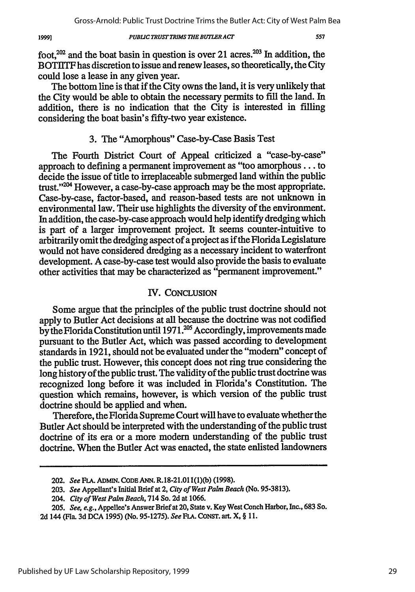*PUBLIC TRUST TRIMS THE BUTLER ACT* 

foot,<sup>202</sup> and the boat basin in question is over 21 acres.<sup>203</sup> In addition, the BOTIlTF has discretion to issue and renew leases, so theoretically, the City could lose a lease in any given year.

The bottom line is that if the City owns the land, it is very unlikely that the City would be able to obtain the necessary permits to fill the land. In addition, there is no indication that the City is interested in filling considering the boat basin's fifty-two year existence.

# 3. The "Amorphous" Case-by-Case Basis Test

The Fourth District Court of Appeal criticized a "case-by-case" approach to defining a permanent improvement as "too amorphous **...** to decide the issue of title to irreplaceable submerged land within the public trust."<sup>204</sup> However, a case-by-case approach may be the most appropriate. Case-by-case, factor-based, and reason-based tests are not unknown in environmental law. Their use highlights the diversity of the environment. In addition, the case-by-case approach would help identify dredging which is part of a larger improvement project. It seems counter-intuitive to arbitrarily omit the dredging aspect of a project as if the Florida Legislature would not have considered dredging as a necessary incident to waterfront development. A case-by-case test would also provide the basis to evaluate other activities that may be characterized as "permanent improvement."

### IV. CONCLUSION

Some argue that the principles of the public trust doctrine should not apply to Butler Act decisions at all because the doctrine was not codified by the Florida Constitution until  $1971$ <sup>205</sup> Accordingly, improvements made pursuant to the Butler Act, which was passed according to development standards in 1921, should not be evaluated under the "modem" concept of the public trust. However, this concept does not ring true considering the long history of the public trust. The validity of the public trust doctrine was recognized long before it was included in Florida's Constitution. The question which remains, however, is which version of the public trust doctrine should be applied and when.

Therefore, the Florida Supreme Court will have to evaluate whether the Butler Act should be interpreted with the understanding of the public trust doctrine of its era or a more modem understanding of the public trust doctrine. When the Butler Act was enacted, the state enlisted landowners

19991

<sup>202.</sup> *See* FLA. ADMiN. CODE ANN. R.18-21.01 (1)(b) (1998).

<sup>203.</sup> *See* Appellant's Initial Brief at 2, *City of West Palm Beach* (No. 95-3813).

*<sup>204.</sup> City of West Palm Beach,* 714 So. 2d at 1066.

<sup>205.</sup> *See, e.g.,* Appellee's Answer Brief at 20, State v. Key West Conch Harbor, Inc., 683 So.

<sup>2</sup>d 144 (Fla. 3d DCA 1995) (No. 95-1275). *See FA.* CONST. art. X, § **11.**